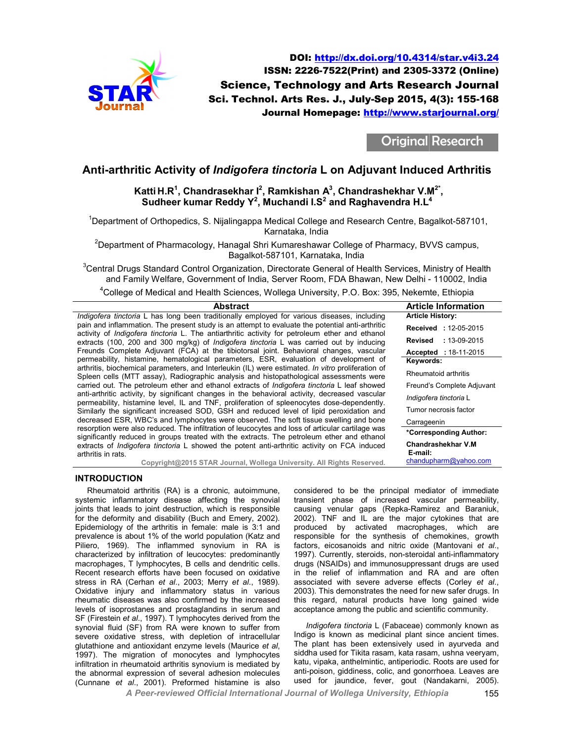

Science, Technology and Arts Research Journal Sci. Technol. Arts Res. J., July-Sep 2015, 4(3): 155-168 DOI: http://dx.doi.org/10.4314/star.v4i3.24 http://dx.doi.org/10.4314/star.v4i3.24 ISSN: 2226-7522(Print) and 2305-3372 (Online) Journal Homepage: http://www.starjournal.org/

Original Research

# **Anti-arthritic Activity of** *Indigofera tinctoria*  **L on Adjuvant Induced Arthritis on**

# **Katti H.R<sup>1</sup> , Chandrasekhar I Chandrasekhar <sup>2</sup> , Ramkishan A<sup>3</sup> , Chandrashekhar V.M V.M2\* , Sudheer kumar Reddy Y 2 , Muchandi I.S<sup>2</sup> and Raghavendra H.L<sup>4</sup>**

<sup>1</sup>Department of Orthopedics, S. Nijalingappa Medical College and Research Centre, Bagalkot-587101, Karnataka, India

<sup>2</sup>Department of Pharmacology, Hanagal Shri Kumareshawar College of Pharmacy, BVVS campus,<br>Bagalkot-587101, Karnataka, India

 ${}^{3}$ Central Drugs Standard Control Organization, Directorate General of Health Services, Ministry of Health and Family Welfare, Government of India, Server Room, FDA Bhawan, New Delhi - 110002, India

 ${}^{4}$ College of Medical and Health Sciences, Wollega University, P.O. Box: 395, Nekemte, Ethiopia

| <b>Abstract</b>                                                                                                                                                                                   | <b>Article Information</b>    |
|---------------------------------------------------------------------------------------------------------------------------------------------------------------------------------------------------|-------------------------------|
| Indigofera tinctoria L has long been traditionally employed for various diseases, including                                                                                                       | <b>Article History:</b>       |
| pain and inflammation. The present study is an attempt to evaluate the potential anti-arthritic<br>activity of Indigofera tinctoria L. The antiarthritic activity for petroleum ether and ethanol | <b>Received: 12-05-2015</b>   |
| extracts (100, 200 and 300 mg/kg) of <i>Indigofera tinctoria</i> L was carried out by inducing                                                                                                    | Revised<br>$: 13 - 09 - 2015$ |
| Freunds Complete Adjuvant (FCA) at the tibiotorsal joint. Behavioral changes, vascular                                                                                                            | <b>Accepted</b> : 18-11-2015  |
| permeability, histamine, hematological parameters, ESR, evaluation of development of                                                                                                              | Keywords:                     |
| arthritis, biochemical parameters, and Interleukin (IL) were estimated. In vitro proliferation of<br>Spleen cells (MTT assay), Radiographic analysis and histopathological assessments were       | Rheumatoid arthritis          |
| carried out. The petroleum ether and ethanol extracts of <i>Indigofera tinctoria</i> L leaf showed                                                                                                | Freund's Complete Adjuvant    |
| anti-arthritic activity, by significant changes in the behavioral activity, decreased vascular<br>permeability, histamine level, IL and TNF, proliferation of spleenocytes dose-dependently.      | Indigofera tinctoria L        |
| Similarly the significant increased SOD, GSH and reduced level of lipid peroxidation and                                                                                                          | Tumor necrosis factor         |
| decreased ESR, WBC's and lymphocytes were observed. The soft tissue swelling and bone                                                                                                             | Carrageenin                   |
| resorption were also reduced. The infiltration of leucocytes and loss of articular cartilage was<br>significantly reduced in groups treated with the extracts. The petroleum ether and ethanol    | *Corresponding Author:        |
| extracts of <i>Indigofera tinctoria</i> L showed the potent anti-arthritic activity on FCA induced                                                                                                | <b>Chandrashekhar V.M</b>     |
| arthritis in rats.                                                                                                                                                                                | E-mail:                       |
| Copyright@2015 STAR Journal, Wollega University. All Rights Reserved.                                                                                                                             | chandupharm@yahoo.com         |

# **INTRODUCTION**

Rheumatoid arthritis (RA) is a chronic, autoimmune, systemic inflammatory disease affecting the synovial joints that leads to joint destruction, which is responsible for the deformity and disability (Buch and Emery, 2002). Epidemiology of the arthritis in female: male is 3:1 and prevalence is about 1% of the world population (Katz and Piliero, 1969). The inflammed synovium in RA is characterized by infiltration of leucocytes: predominantly macrophages, T lymphocytes, B cells and dendritic cells. Recent research efforts have been focused on oxidative stress in RA (Cerhan *et al*., 2003; Merry *et al*., 1989). Oxidative injury and inflammatory status in various rheumatic diseases was also confirmed by the increased levels of isoprostanes and prostaglandins in serum and SF (Firestein *et al*., 1997). T lymphocytes derived from the synovial fluid (SF) from RA were known to suffer from severe oxidative stress, with depletion of intracellular glutathione and antioxidant enzyme levels (Maurice et al, 1997). The migration of monocytes and lymphocytes infiltration in rheumatoid arthritis synovium is mediated by the abnormal expression of several adhesion molecules (Cunnane *et al*., 2001). Preformed histamine is also temic inflammatory disease affecting the synovial<br>ts that leads to joint destruction, which is responsible<br>the deformity and disability (Buch and Emery, 2002).<br>demiology of the arthritis in female: male is 3:1 and<br>valence and inflammatory status in various<br>es was also confirmed by the increased<br>anes and prostaglandins in serum and<br>., 1997). T lymphocytes derived from the<br>.) from RA were known to suffer from<br>stress, with depletion of intrace Recent research efforts is a chronic, autoimumne, considered to be the principal mediator of immediator and instability. The monocytes affecting the synovial transient phase of increased vascular permeability, considered

transient phase of increased vascular permeability, causing venular gaps (Repka-Ramirez and Baraniuk, 2002). TNF and IL are the major cytokines that are produced by activated macrophages, which are responsible for the synthesis of chemokines, growth factors, eicosanoids and nitric oxide (Mantovani *et al*., 1997). Currently, steroids, non-steroidal anti-inflammatory drugs (NSAIDs) and immunosuppressant drugs are used in the relief of inflammation and RA and are often in the relief of inflammation and RA and are often<br>associated with severe adverse effects (Corley *et al.*, 2003). This demonstrates the need for new safer drugs. In this regard, natural products have long gained wide acceptance among the public and scientific community.

*Indigofera tinctoria* L (Fabaceae) commonly known as Indigo is known as medicinal plant since ancient times. The plant has been extensively used in ayurveda and siddha used for Tikita rasam, kata rasam, ushna veeryam, katu, vipaka, anthelmintic, antiperiodic. Roots are used for anti-poison, giddiness, colic, and gonorrhoea. Leaves are used for jaundice, fever, gout (Nandakarni, 2005). 3). This demonstrates the need for new safer drugs. In regard, natural products have long gained wide ptance among the public and scientific community.<br> *ndigofera tinctoria* L (Fabaceae) commonly known as medicinal plant

*A Peer-reviewed Official International Journal of Wollega University, Ethiopia*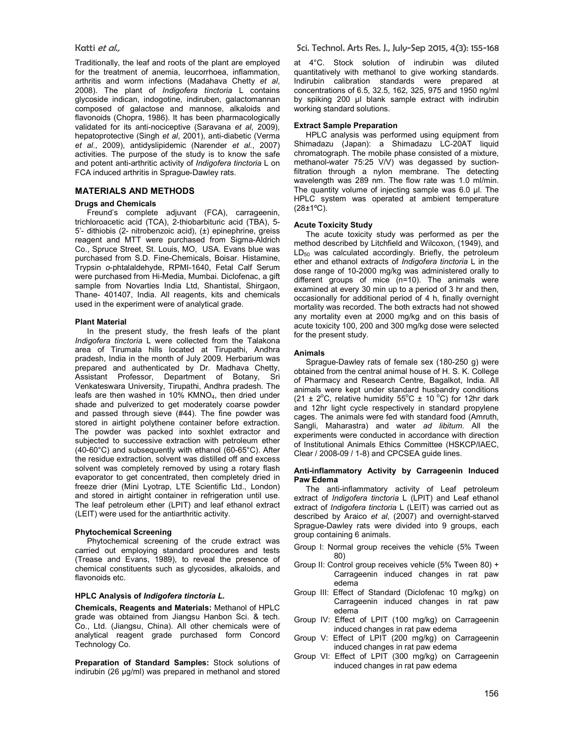Traditionally, the leaf and roots of the plant are employed for the treatment of anemia, leucorrhoea, inflammation, arthritis and worm infections (Madahava Chetty *et al*, 2008). The plant of *Indigofera tinctoria* L contains glycoside indican, indogotine, indiruben, galactomannan composed of galactose and mannose, alkaloids and flavonoids (Chopra, 1986). It has been pharmacologically validated for its anti-nociceptive (Saravana *et al*, 2009), hepatoprotective (Singh *et al*, 2001), anti-diabetic (Verma *et al.*, 2009), antidyslipidemic (Narender *et al.*, 2007) activities. The purpose of the study is to know the safe and potent anti-arthritic activity of *Indigofera tinctoria* L on FCA induced arthritis in Sprague-Dawley rats.

# **MATERIALS AND METHODS**

# **Drugs and Chemicals**

Freund's complete adjuvant (FCA), carrageenin, trichloroacetic acid (TCA), 2-thiobarbituric acid (TBA), 5- 5'- dithiobis (2- nitrobenzoic acid), (±) epinephrine, greiss reagent and MTT were purchased from Sigma-Aldrich Co., Spruce Street, St. Louis, MO, USA. Evans blue was purchased from S.D. Fine-Chemicals, Boisar. Histamine, Trypsin *o*-phtalaldehyde, RPMI-1640, Fetal Calf Serum were purchased from Hi-Media, Mumbai. Diclofenac, a gift sample from Novarties India Ltd, Shantistal, Shirgaon, Thane- 401407, India. All reagents, kits and chemicals used in the experiment were of analytical grade.

## **Plant Material**

In the present study, the fresh leafs of the plant *Indigofera tinctoria* L were collected from the Talakona area of Tirumala hills located at Tirupathi, Andhra pradesh, India in the month of July 2009. Herbarium was prepared and authenticated by Dr. Madhava Chetty, Assistant Professor, Department of Botany, Sri Venkateswara University, Tirupathi, Andhra pradesh. The leafs are then washed in 10% KMNO4, then dried under shade and pulverized to get moderately coarse powder and passed through sieve (#44). The fine powder was stored in airtight polythene container before extraction. The powder was packed into soxhlet extractor and subjected to successive extraction with petroleum ether (40-60°C) and subsequently with ethanol (60-65°C). After the residue extraction, solvent was distilled off and excess solvent was completely removed by using a rotary flash evaporator to get concentrated, then completely dried in freeze drier (Mini Lyotrap, LTE Scientific Ltd., London) and stored in airtight container in refrigeration until use. The leaf petroleum ether (LPIT) and leaf ethanol extract (LEIT) were used for the antiarthritic activity.

#### **Phytochemical Screening**

Phytochemical screening of the crude extract was carried out employing standard procedures and tests (Trease and Evans, 1989), to reveal the presence of chemical constituents such as glycosides, alkaloids, and flavonoids etc.

#### **HPLC Analysis of** *Indigofera tinctoria L.*

**Chemicals, Reagents and Materials:** Methanol of HPLC grade was obtained from Jiangsu Hanbon Sci. & tech. Co., Ltd. (Jiangsu, China). All other chemicals were of analytical reagent grade purchased form Concord Technology Co.

**Preparation of Standard Samples:** Stock solutions of indirubin (26 µg/ml) was prepared in methanol and stored

at 4°C. Stock solution of indirubin was diluted quantitatively with methanol to give working standards. Indirubin calibration standards were prepared at concentrations of 6.5, 32.5, 162, 325, 975 and 1950 ng/ml by spiking 200 µl blank sample extract with indirubin working standard solutions.

## **Extract Sample Preparation**

HPLC analysis was performed using equipment from Shimadazu (Japan): a Shimadazu LC-20AT liquid chromatograph. The mobile phase consisted of a mixture, methanol-water 75:25 V/V) was degassed by suctionfiltration through a nylon membrane. The detecting wavelength was 289 nm. The flow rate was 1.0 ml/min. The quantity volume of injecting sample was 6.0 µl. The HPLC system was operated at ambient temperature (28±1ºC).

## **Acute Toxicity Study**

The acute toxicity study was performed as per the method described by Litchfield and Wilcoxon, (1949), and  $LD_{50}$  was calculated accordingly. Briefly, the petroleum ether and ethanol extracts of *Indigofera tinctoria* L in the dose range of 10-2000 mg/kg was administered orally to different groups of mice (n=10). The animals were examined at every 30 min up to a period of 3 hr and then, occasionally for additional period of 4 h, finally overnight mortality was recorded. The both extracts had not showed any mortality even at 2000 mg/kg and on this basis of acute toxicity 100, 200 and 300 mg/kg dose were selected for the present study.

#### **Animals**

Sprague-Dawley rats of female sex (180-250 g) were obtained from the central animal house of H. S. K. College of Pharmacy and Research Centre, Bagalkot, India. All animals were kept under standard husbandry conditions (21  $\pm$  2<sup>o</sup>C, relative humidity 55<sup>o</sup>C  $\pm$  10<sup>o</sup>C) for 12hr dark and 12hr light cycle respectively in standard propylene cages. The animals were fed with standard food (Amruth, Sangli, Maharastra) and water *ad libitum*. All the experiments were conducted in accordance with direction of Institutional Animals Ethics Committee (HSKCP/IAEC, Clear / 2008-09 / 1-8) and CPCSEA guide lines.

#### **Anti-inflammatory Activity by Carrageenin Induced Paw Edema**

The anti-inflammatory activity of Leaf petroleum extract of *Indigofera tinctoria* L (LPIT) and Leaf ethanol extract of *Indigofera tinctoria* L (LEIT) was carried out as described by Araico *et al*, (2007) and overnight-starved Sprague-Dawley rats were divided into 9 groups, each group containing 6 animals.

- Group I: Normal group receives the vehicle (5% Tween 80)
- Group II: Control group receives vehicle (5% Tween 80) + Carrageenin induced changes in rat paw edema
- Group III: Effect of Standard (Diclofenac 10 mg/kg) on Carrageenin induced changes in rat paw edema
- Group IV: Effect of LPIT (100 mg/kg) on Carrageenin induced changes in rat paw edema
- Group V: Effect of LPIT (200 mg/kg) on Carrageenin induced changes in rat paw edema
- Group VI: Effect of LPIT (300 mg/kg) on Carrageenin induced changes in rat paw edema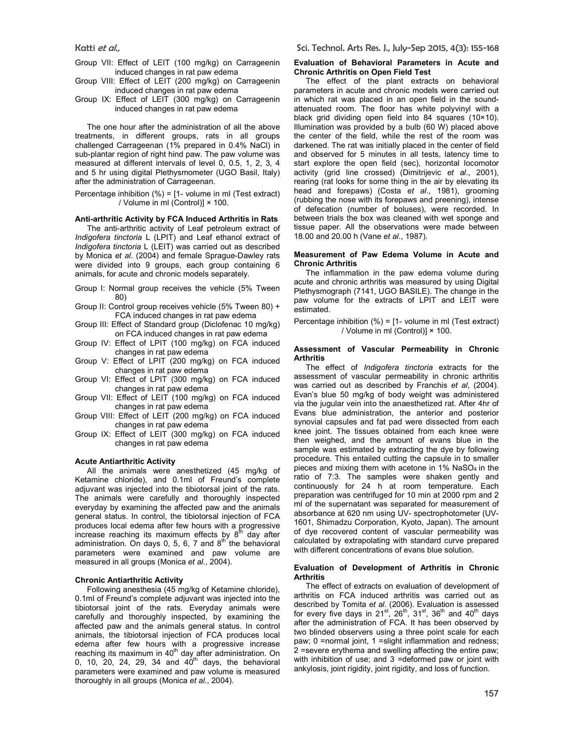- Group VII: Effect of LEIT (100 mg/kg) on Carrageenin induced changes in rat paw edema
- Group VIII: Effect of LEIT (200 mg/kg) on Carrageenin induced changes in rat paw edema
- Group IX: Effect of LEIT (300 mg/kg) on Carrageenin induced changes in rat paw edema

The one hour after the administration of all the above treatments, in different groups, rats in all groups challenged Carrageenan (1% prepared in 0.4% NaCl) in sub-plantar region of right hind paw. The paw volume was measured at different intervals of level 0, 0.5, 1, 2, 3, 4 and 5 hr using digital Plethysmometer (UGO Basil, Italy) after the administration of Carrageenan.

Percentage inhibition  $(\%) = [1 - \text{volume in ml (Test extract})]$ / Volume in ml (Control)] × 100.

#### **Anti-arthritic Activity by FCA Induced Arthritis in Rats**

The anti-arthritic activity of Leaf petroleum extract of *Indigofera tinctoria* L (LPIT) and Leaf ethanol extract of *Indigofera tinctoria* L (LEIT) was carried out as described by Monica *et al*. (2004) and female Sprague-Dawley rats were divided into 9 groups, each group containing 6 animals, for acute and chronic models separately.

- Group I: Normal group receives the vehicle (5% Tween 80)
- Group II: Control group receives vehicle (5% Tween 80) + FCA induced changes in rat paw edema
- Group III: Effect of Standard group (Diclofenac 10 mg/kg) on FCA induced changes in rat paw edema
- Group IV: Effect of LPIT (100 mg/kg) on FCA induced changes in rat paw edema
- Group V: Effect of LPIT (200 mg/kg) on FCA induced changes in rat paw edema
- Group VI: Effect of LPIT (300 mg/kg) on FCA induced changes in rat paw edema
- Group VII: Effect of LEIT (100 mg/kg) on FCA induced changes in rat paw edema
- Group VIII: Effect of LEIT (200 mg/kg) on FCA induced changes in rat paw edema
- Group IX: Effect of LEIT (300 mg/kg) on FCA induced changes in rat paw edema

#### **Acute Antiarthritic Activity**

All the animals were anesthetized (45 mg/kg of Ketamine chloride), and 0.1ml of Freund's complete adjuvant was injected into the tibiotorsal joint of the rats. The animals were carefully and thoroughly inspected everyday by examining the affected paw and the animals general status. In control, the tibiotorsal injection of FCA produces local edema after few hours with a progressive increase reaching its maximum effects by  $8^{th}$  day after administration. On days 0, 5, 6, 7 and  $8<sup>th</sup>$  the behavioral parameters were examined and paw volume are measured in all groups (Monica *et al*., 2004).

#### **Chronic Antiarthritic Activity**

Following anesthesia (45 mg/kg of Ketamine chloride), 0.1ml of Freund's complete adjuvant was injected into the tibiotorsal joint of the rats. Everyday animals were carefully and thoroughly inspected, by examining the affected paw and the animals general status. In control animals, the tibiotorsal injection of FCA produces local edema after few hours with a progressive increase reaching its maximum in 40<sup>th</sup> day after administration. On 0, 10, 20, 24, 29, 34 and  $40^{th}$  days, the behavioral parameters were examined and paw volume is measured thoroughly in all groups (Monica *et al*., 2004).

## **Evaluation of Behavioral Parameters in Acute and Chronic Arthritis on Open Field Test**

The effect of the plant extracts on behavioral parameters in acute and chronic models were carried out in which rat was placed in an open field in the soundattenuated room. The floor has white polyvinyl with a black grid dividing open field into 84 squares (10×10). Illumination was provided by a bulb (60 W) placed above the center of the field, while the rest of the room was darkened. The rat was initially placed in the center of field and observed for 5 minutes in all tests, latency time to start explore the open field (sec), horizontal locomotor activity (grid line crossed) (Dimitrijevic *et al*., 2001), rearing (rat looks for some thing in the air by elevating its head and forepaws) (Costa *et al*., 1981), grooming (rubbing the nose with its forepaws and preening), intense of defecation (number of boluses), were recorded. In between trials the box was cleaned with wet sponge and tissue paper. All the observations were made between 18.00 and 20.00 h (Vane *et al*., 1987).

#### **Measurement of Paw Edema Volume in Acute and Chronic Arthritis**

The inflammation in the paw edema volume during acute and chronic arthritis was measured by using Digital Plethysmograph (7141, UGO BASILE). The change in the paw volume for the extracts of LPIT and LEIT were estimated.

Percentage inhibition (%) = [1- volume in ml (Test extract) / Volume in ml (Control)] × 100.

#### **Assessment of Vascular Permeability in Chronic Arthritis**

The effect of *Indigofera tinctoria* extracts for the assessment of vascular permeability in chronic arthritis was carried out as described by Franchis *et al*, (2004). Evan's blue 50 mg/kg of body weight was administered via the jugular vein into the anaesthetized rat. After 4hr of Evans blue administration, the anterior and posterior synovial capsules and fat pad were dissected from each knee joint. The tissues obtained from each knee were then weighed, and the amount of evans blue in the sample was estimated by extracting the dye by following procedure. This entailed cutting the capsule in to smaller pieces and mixing them with acetone in 1% NaSO<sub>4</sub> in the ratio of 7:3. The samples were shaken gently and continuously for 24 h at room temperature. Each preparation was centrifuged for 10 min at 2000 rpm and 2 ml of the supernatant was separated for measurement of absorbance at 620 nm using UV- spectrophotometer (UV-1601, Shimadzu Corporation, Kyoto, Japan). The amount of dye recovered content of vascular permeability was calculated by extrapolating with standard curve prepared with different concentrations of evans blue solution.

#### **Evaluation of Development of Arthritis in Chronic Arthritis**

The effect of extracts on evaluation of development of arthritis on FCA induced arthritis was carried out as described by Tomita *et al*. (2006). Evaluation is assessed<br>for every five days in 21<sup>st</sup>, 26<sup>th</sup>, 31<sup>st</sup>, 36<sup>th</sup> and 40<sup>th</sup> days after the administration of FCA. It has been observed by two blinded observers using a three point scale for each paw; 0 =normal joint, 1 =slight inflammation and redness; 2 =severe erythema and swelling affecting the entire paw; with inhibition of use; and 3 =deformed paw or joint with ankylosis, joint rigidity, joint rigidity, and loss of function.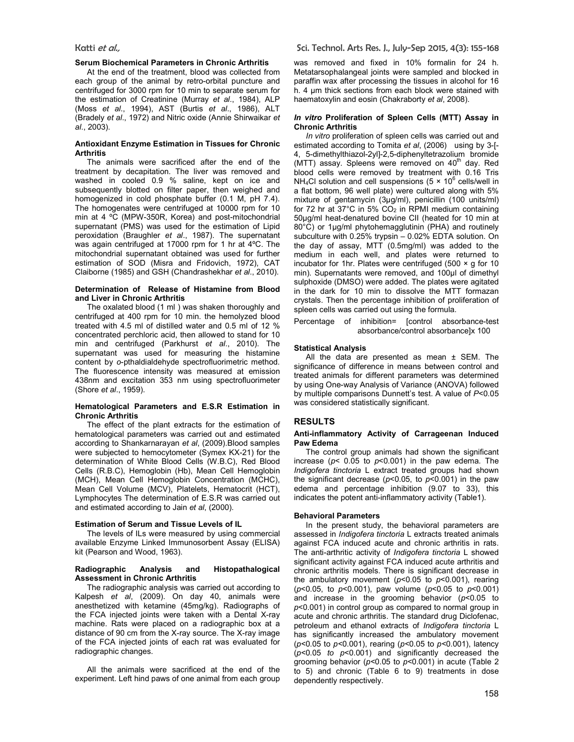#### **Serum Biochemical Parameters in Chronic Arthritis**

At the end of the treatment, blood was collected from each group of the animal by retro-orbital puncture and centrifuged for 3000 rpm for 10 min to separate serum for the estimation of Creatinine (Murray *et al*., 1984), ALP (Moss *et al*., 1994), AST (Burtis *et al*., 1986), ALT (Bradely *et al*., 1972) and Nitric oxide (Annie Shirwaikar *et al*., 2003).

# **Antioxidant Enzyme Estimation in Tissues for Chronic Arthritis**

The animals were sacrificed after the end of the treatment by decapitation. The liver was removed and washed in cooled 0.9 % saline, kept on ice and subsequently blotted on filter paper, then weighed and homogenized in cold phosphate buffer (0.1 M, pH 7.4). The homogenates were centrifuged at 10000 rpm for 10 min at 4 ºC (MPW-350R, Korea) and post-mitochondrial supernatant (PMS) was used for the estimation of Lipid peroxidation (Braughler *et al*., 1987). The supernatant was again centrifuged at 17000 rpm for 1 hr at 4ºC. The mitochondrial supernatant obtained was used for further estimation of SOD (Misra and Fridovich, 1972), CAT Claiborne (1985) and GSH (Chandrashekhar *et al*., 2010).

#### **Determination of Release of Histamine from Blood and Liver in Chronic Arthritis**

The oxalated blood (1 ml ) was shaken thoroughly and centrifuged at 400 rpm for 10 min. the hemolyzed blood treated with 4.5 ml of distilled water and 0.5 ml of 12 % concentrated perchloric acid, then allowed to stand for 10 min and centrifuged (Parkhurst *et al*., 2010). The supernatant was used for measuring the histamine content by *o*-pthaldialdehyde spectrofluorimetric method. The fluorescence intensity was measured at emission 438nm and excitation 353 nm using spectrofluorimeter (Shore *et al*., 1959).

### **Hematological Parameters and E.S.R Estimation in Chronic Arthritis**

The effect of the plant extracts for the estimation of hematological parameters was carried out and estimated according to Shankarnarayan *et al*, (2009).Blood samples were subjected to hemocytometer (Symex KX-21) for the determination of White Blood Cells (W.B.C), Red Blood Cells (R.B.C), Hemoglobin (Hb), Mean Cell Hemoglobin (MCH), Mean Cell Hemoglobin Concentration (MCHC), Mean Cell Volume (MCV), Platelets, Hematocrit (HCT), Lymphocytes The determination of E.S.R was carried out and estimated according to Jain *et al*, (2000).

### **Estimation of Serum and Tissue Levels of IL**

The levels of ILs were measured by using commercial available Enzyme Linked Immunosorbent Assay (ELISA) kit (Pearson and Wood, 1963).

#### **Radiographic Analysis and Histopathalogical Assessment in Chronic Arthritis**

The radiographic analysis was carried out according to Kalpesh *et al*, (2009). On day 40, animals were anesthetized with ketamine (45mg/kg). Radiographs of the FCA injected joints were taken with a Dental X-ray machine. Rats were placed on a radiographic box at a distance of 90 cm from the X-ray source. The X-ray image of the FCA injected joints of each rat was evaluated for radiographic changes.

All the animals were sacrificed at the end of the experiment. Left hind paws of one animal from each group was removed and fixed in 10% formalin for 24 h. Metatarsophalangeal joints were sampled and blocked in paraffin wax after processing the tissues in alcohol for 16 h. 4 µm thick sections from each block were stained with haematoxylin and eosin (Chakraborty *et al*, 2008).

#### *In vitro* **Proliferation of Spleen Cells (MTT) Assay in Chronic Arthritis**

*In vitro* proliferation of spleen cells was carried out and estimated according to Tomita *et al*, (2006) using by 3-[- 4, 5-dimethylthiazol-2yl]-2,5-diphenyltetrazolium bromide (MTT) assay. Spleens were removed on  $40<sup>th</sup>$  day. Red blood cells were removed by treatment with 0.16 Tris NH<sub>4</sub>Cl solution and cell suspensions ( $5 \times 10^6$  cells/well in a flat bottom, 96 well plate) were cultured along with 5% mixture of gentamycin (3µg/ml), penicillin (100 units/ml) for 72 hr at  $37^{\circ}$ C in 5%  $CO_{2}$  in RPMI medium containing 50µg/ml heat-denatured bovine CII (heated for 10 min at 80°C) or 1µg/ml phytohemagglutinin (PHA) and routinely subculture with 0.25% trypsin – 0.02% EDTA solution. On the day of assay, MTT (0.5mg/ml) was added to the medium in each well, and plates were returned to incubator for 1hr. Plates were centrifuged (500 × g for 10 min). Supernatants were removed, and 100µl of dimethyl sulphoxide (DMSO) were added. The plates were agitated in the dark for 10 min to dissolve the MTT formazan crystals. Then the percentage inhibition of proliferation of spleen cells was carried out using the formula.

Percentage of inhibition= [control absorbance-test absorbance/control absorbance]x 100

#### **Statistical Analysis**

All the data are presented as mean ± SEM. The significance of difference in means between control and treated animals for different parameters was determined by using One-way Analysis of Variance (ANOVA) followed by multiple comparisons Dunnett's test. A value of *P*<0.05 was considered statistically significant.

# **RESULTS**

## **Anti-inflammatory Activity of Carrageenan Induced Paw Edema**

The control group animals had shown the significant increase ( $p$ < 0.05 to  $p$ <0.001) in the paw edema. The *Indigofera tinctoria* L extract treated groups had shown the significant decrease (*p*<0.05, to *p*<0.001) in the paw edema and percentage inhibition (9.07 to 33), this indicates the potent anti-inflammatory activity (Table1).

#### **Behavioral Parameters**

In the present study, the behavioral parameters are assessed in *Indigofera tinctoria* L extracts treated animals against FCA induced acute and chronic arthritis in rats. The anti-arthritic activity of *Indigofera tinctoria* L showed significant activity against FCA induced acute arthritis and chronic arthritis models. There is significant decrease in the ambulatory movement (*p*<0.05 to *p*<0.001), rearing (*p*<0.05, to *p*<0.001), paw volume (*p*<0.05 to *p*<0.001) and increase in the grooming behavior (*p*<0.05 to *p*<0.001) in control group as compared to normal group in acute and chronic arthritis. The standard drug Diclofenac, petroleum and ethanol extracts of *Indigofera tinctoria* L has significantly increased the ambulatory movement (*p<*0.05 to *p<*0.001), rearing (*p<*0.05 to *p<*0.001), latency (*p<*0.05 *to p*<0.001) and significantly decreased the grooming behavior (*p<*0.05 to *p<*0.001) in acute (Table 2 to 5) and chronic (Table 6 to 9) treatments in dose dependently respectively.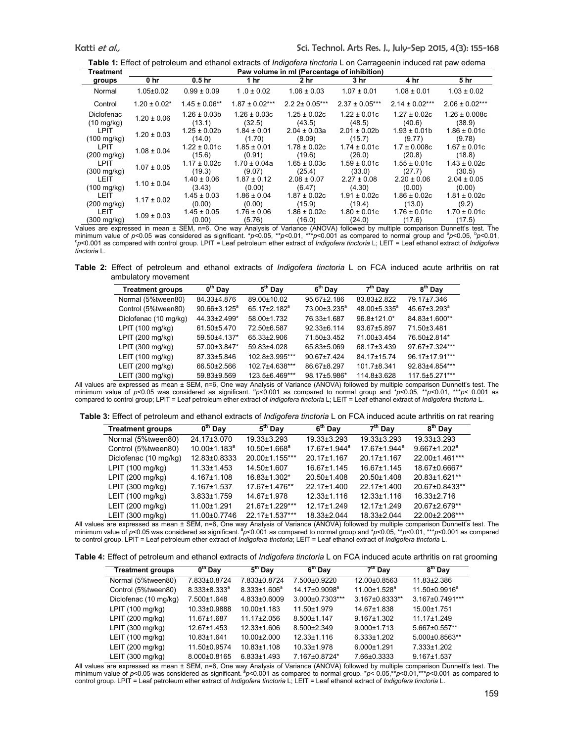| Treatment                            | Paw volume in ml (Percentage of inhibition) |                                      |                           |                            |                            |                            |                            |  |  |
|--------------------------------------|---------------------------------------------|--------------------------------------|---------------------------|----------------------------|----------------------------|----------------------------|----------------------------|--|--|
| groups                               | 0 hr                                        | 0.5 <sub>hr</sub>                    | 1 hr                      | 2 hr                       | 3 <sub>hr</sub>            | 4 hr                       | 5 <sub>hr</sub>            |  |  |
| Normal                               | $1.05 \pm 0.02$                             | $0.99 \pm 0.09$                      | $1.0 \pm 0.02$            | $1.06 \pm 0.03$            | $1.07 \pm 0.01$            | $1.08 \pm 0.01$            | $1.03 \pm 0.02$            |  |  |
| Control                              | $1.20 \pm 0.02^*$                           | $1.45 \pm 0.06**$                    | $1.87 \pm 0.02***$        | $2.22 \pm 0.05***$         | $2.37 \pm 0.05***$         | $2.14 \pm 0.02***$         | $2.06 \pm 0.02***$         |  |  |
| <b>Diclofenac</b>                    | $1.20 \pm 0.06$                             | $1.26 \pm 0.03b$                     | $1.26 \pm 0.03c$          | $1.25 \pm 0.02c$           | $1.22 \pm 0.01c$           | $1.27 \pm 0.02c$           | $1.26 \pm 0.008c$          |  |  |
| $(10 \text{ mg/kg})$                 |                                             | (13.1)                               | (32.5)                    | (43.5)                     | (48.5)                     | (40.6)                     | (38.9)                     |  |  |
| <b>LPIT</b>                          | $1.20 \pm 0.03$                             | $1.25 \pm 0.02b$                     | $1.84 \pm 0.01$           | $2.04 \pm 0.03a$           | $2.01 \pm 0.02b$           | $1.93 \pm 0.01$            | $1.86 \pm 0.01c$           |  |  |
| $(100 \text{ mg/kg})$                |                                             | (14.0)                               | (1.70)                    | (8.09)                     | (15.7)                     | (9.77)                     | (9.78)                     |  |  |
| <b>LPIT</b>                          | $1.08 \pm 0.04$                             | $1.22 \pm 0.01c$                     | $1.85 \pm 0.01$           | $1.78 \pm 0.02c$           | $1.74 \pm 0.01c$           | $1.7 \pm 0.008c$           | $1.67 \pm 0.01c$           |  |  |
| $(200 \text{ mg/kg})$                |                                             | (15.6)                               | (0.91)                    | (19.6)                     | (26.0)                     | (20.8)                     | (18.8)                     |  |  |
| <b>LPIT</b>                          | $1.07 \pm 0.05$                             | $1.17 \pm 0.02c$                     | $1.70 \pm 0.04a$          | $1.65 \pm 0.03c$           | $1.59 \pm 0.01c$           | $1.55 \pm 0.01c$           | $1.43 \pm 0.02c$           |  |  |
| $(300 \text{ mg/kg})$                |                                             | (19.3)                               | (9.07)                    | (25.4)                     | (33.0)                     | (27.7)                     | (30.5)                     |  |  |
| <b>LEIT</b>                          | $1.10 \pm 0.04$                             | $1.40 \pm 0.06$                      | $1.87 \pm 0.12$           | $2.08 \pm 0.07$            | $2.27 \pm 0.08$            | $2.20 \pm 0.06$            | $2.04 \pm 0.05$            |  |  |
| $(100 \text{ mg/kg})$                |                                             | (3.43)                               | (0.00)                    | (6.47)                     | (4.30)                     | (0.00)                     | (0.00)                     |  |  |
| <b>LEIT</b>                          | $1.17 \pm 0.02$                             | $1.45 \pm 0.03$                      | $1.86 \pm 0.04$           | $1.87 \pm 0.02c$           | $1.91 \pm 0.02c$           | $1.86 \pm 0.02c$           | $1.81 \pm 0.02c$           |  |  |
| $(200 \text{ mg/kg})$                |                                             | (0.00)                               | (0.00)                    | (15.9)                     | (19.4)                     | (13.0)                     | (9.2)                      |  |  |
| <b>LEIT</b><br>$(300 \text{ mg/kg})$ | $1.09 \pm 0.03$<br>$\sim$ $\sim$            | $1.45 \pm 0.05$<br>(0.00)<br>$- - -$ | $1.76 \pm 0.06$<br>(5.76) | $1.86 \pm 0.02c$<br>(16.0) | $1.80 \pm 0.01c$<br>(24.0) | $1.76 \pm 0.01c$<br>(17.6) | $1.70 \pm 0.01c$<br>(17.5) |  |  |

Values are expressed in mean ± SEM, n=6. One way Analysis of Variance (ANOVA) followed by multiple comparison Dunnett's test. The<br>minimum value of p<0.05 was considered as significant. \*p<0.05, \*\*p<0.01, \*\*\*p<0.001 as comp c *p*<0.001 as compared with control group. LPIT = Leaf petroleum ether extract of *Indigofera tinctoria* L; LEIT = Leaf ethanol extract of *Indigofera tinctoria* L.

**Table 2:** Effect of petroleum and ethanol extracts of *Indigofera tinctoria* L on FCA induced acute arthritis on rat ambulatory movement

| <b>Treatment groups</b> | $\overline{0}^{\text{th}}$ Day | $5th$ Day                      | 6 <sup>th</sup> Day      | $7th$ Day           | $8th$ Day                |
|-------------------------|--------------------------------|--------------------------------|--------------------------|---------------------|--------------------------|
| Normal (5%tween80)      | 84.33±4.876                    | 89.00±10.02                    | 95.67±2.186              | 83.83±2.822         | 79.17±7.346              |
| Control (5%tween80)     | $90.66 \pm 3.125^a$            | $65.17 \pm 2.182$ <sup>a</sup> | 73.00±3.235 <sup>a</sup> | $48.00 \pm 5.335^a$ | 45.67±3.293 <sup>ª</sup> |
| Diclofenac (10 mg/kg)   | 44.33±2.499*                   | 58.00±1.732                    | 76.33±1.687              | 96.8±121.0*         | 84.83±1.600**            |
| LPIT (100 mg/kg)        | 61.50±5.470                    | 72.50±6.587                    | $92.33 \pm 6.114$        | 93.67±5.897         | 71.50±3.481              |
| LPIT (200 mg/kg)        | 59.50±4.137*                   | 65.33±2.906                    | 71 50+3 452              | 71.00±3.454         | 76.50±2.814*             |
| LPIT (300 mg/kg)        | 57.00±3.847*                   | 59.83±4.028                    | 65.83±5.069              | 68.17±3.439         | 97.67±7.324***           |
| LEIT (100 mg/kg)        | 87.33±5.846                    | 102.8±3.995***                 | $90.67 \pm 7.424$        | 84.17±15.74         | 96.17±17.91***           |
| LEIT (200 mg/kg)        | 66.50±2.566                    | 102.7±4.638***                 | 86.67±8.297              | $101.7 + 8.341$     | 92.83±4.854***           |
| LEIT (300 mg/kg)        | 59.83±9.569                    | 123.5±6.469***                 | 98.17±5.986*             | 114.8±3.628         | 117.5±5.271***           |

All values are expressed as mean ± SEM, n=6, One way Analysis of Variance (ANOVA) followed by multiple comparison Dunnett's test. The minimum value of p<0.05 was considered as significant. <sup>a</sup>p<0.001 as compared to normal group and \*p<0.05, \*\*p<0.01, \*\*\*p<0.001 as compared to control group; LPIT = Leaf petroleum ether extract of *Indigofera tinctoria* L; LEIT = Leaf ethanol extract of *Indigofera tinctoria* L.

**Table 3:** Effect of petroleum and ethanol extracts of *Indigofera tinctoria* L on FCA induced acute arthritis on rat rearing

| <b>Treatment groups</b> | $\overline{0}^{\text{th}}$ Day | $5th$ Day         | 6 <sup>th</sup> Day            | $7th$ Day                      | 8 <sup>th</sup> Day            |
|-------------------------|--------------------------------|-------------------|--------------------------------|--------------------------------|--------------------------------|
| Normal (5%tween80)      | 24.17±3.070                    | 19.33±3.293       | 19.33±3.293                    | 19.33±3.293                    | 19.33±3.293                    |
| Control (5%tween80)     | $10.00 \pm 1.183$ <sup>a</sup> | $10.50\pm1.668^a$ | $17.67 \pm 1.944$ <sup>a</sup> | $17.67 \pm 1.944$ <sup>a</sup> | $9.667 \pm 1.202$ <sup>a</sup> |
| Diclofenac (10 mg/kg)   | 12.83±0.8333                   | 20.00±1.155***    | 20.17±1.167                    | 20.17±1.167                    | 22.00±1.461***                 |
| LPIT (100 mg/kg)        | $11.33 \pm 1.453$              | 14.50±1.607       | 16.67±1.145                    | $16.67 \pm 1.145$              | 18.67±0.6667*                  |
| LPIT (200 mg/kg)        | $4.167 \pm 1.108$              | 16.83±1.302*      | 20.50±1.408                    | 20.50±1.408                    | 20.83±1.621**                  |
| LPIT (300 mg/kg)        | 7.167±1.537                    | 17.67±1.476**     | 22.17±1.400                    | 22.17±1.400                    | 20.67±0.8433**                 |
| LEIT (100 mg/kg)        | $3.833 \pm 1.759$              | 14.67±1.978       | $12.33 \pm 1.116$              | $12.33 \pm 1.116$              | $16.33 \pm 2.716$              |
| LEIT (200 mg/kg)        | 11.00±1.291                    | 21.67±1.229***    | 12.17±1.249                    | 12.17±1.249                    | 20.67±2.679**                  |
| LEIT (300 mg/kg)        | 11.00±0.7746                   | 22.17±1.537***    | 18.33±2.044                    | 18.33±2.044                    | 22.00±2.206***                 |

All values are expressed as mean ± SEM, n=6, One way Analysis of Variance (ANOVA) followed by multiple comparison Dunnett's test. The minimum value of *p*<0.05 was considered as significant.<sup>a</sup> $p$ <0.001 as compared to normal group and \* $p$ <0.05, \*\* $p$ <0.01, \*\*\* $p$ <0.001 as compared to control group. LPIT = Leaf petroleum ether extract of *Indigofera tinctoria*; LEIT = Leaf ethanol extract of *Indigofera tinctoria* L.

**Table 4:** Effect of petroleum and ethanol extracts of *Indigofera tinctoria* L on FCA induced acute arthritis on rat grooming

| <b>Treatment groups</b> | $0th$ Day           | $5th$ Day           | 6 <sup>th</sup> Day       | $7th$ Day           | $8th$ Day            |
|-------------------------|---------------------|---------------------|---------------------------|---------------------|----------------------|
| Normal (5%tween80)      | 7.833±0.8724        | 7.833±0.8724        | 7.500±0.9220              | 12.00±0.8563        | 11.83±2.386          |
| Control (5%tween80)     | $8.333 \pm 8.333^a$ | $8.333 \pm 1.606^a$ | 14.17±0.9098 <sup>a</sup> | $11.00 \pm 1.528^a$ | $11.50 \pm 0.9916^a$ |
| Diclofenac (10 mg/kg)   | 7.500±1.648         | 4.833±0.6009        | 3.000±0.7303***           | 3.167±0.8333**      | 3.167±0.7491***      |
| LPIT (100 mg/kg)        | 10.33±0.9888        | $10.00 + 1.183$     | 11.50±1.979               | 14.67±1.838         | 15.00±1.751          |
| LPIT (200 mg/kg)        | 11.67±1.687         | 11.17±2.056         | 8.500±1.147               | $9.167 \pm 1.302$   | $11.17 \pm 1.249$    |
| LPIT (300 mg/kg)        | $12.67 \pm 1.453$   | 12.33±1.606         | $8.500 \pm 2.349$         | $9.000 \pm 1.713$   | 5.667±0.557**        |
| LEIT (100 mg/kg)        | $10.83 + 1.641$     | $10.00 \pm 2.000$   | $12.33 \pm 1.116$         | $6.333 \pm 1.202$   | 5.000±0.8563**       |
| LEIT (200 mg/kg)        | 11.50±0.9574        | $10.83 + 1.108$     | $10.33 + 1.978$           | $6.000 \pm 1.291$   | 7.333±1.202          |
| LEIT (300 mg/kg)        | 8.000±0.8165        | $6.833 \pm 1.493$   | 7.167±0.8724*             | 7.66±0.3333         | $9.167 \pm 1.537$    |

All values are expressed as mean ± SEM, n=6, One way Analysis of Variance (ANOVA) followed by multiple comparison Dunnett's test. The minimum value of *p*<0.05 was considered as significant.<sup>8</sup>*p*<0.001 as compared to normal group. \**p*<0.05,\*\**p*<0.01,\*\*\**p*<0.001 as compared to control group. LPIT = Leaf petroleum ether extract of *Indigofera tinctoria* L; LEIT = Leaf ethanol extract of *Indigofera tinctoria* L.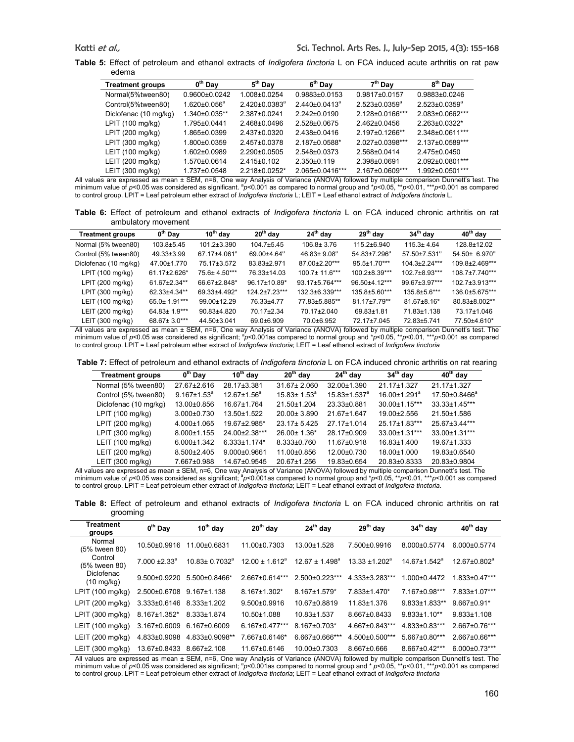**Table 5:** Effect of petroleum and ethanol extracts of *Indigofera tinctoria* L on FCA induced acute arthritis on rat paw edema

| $0th$ Day           | $5th$ Day            | 6 <sup>th</sup> Day  | $7th$ Day              | 8 <sup>th</sup> Day  |
|---------------------|----------------------|----------------------|------------------------|----------------------|
| $0.9600 + 0.0242$   | 1.008±0.0254         | $0.9883\pm0.0153$    | $0.9817\pm0.0157$      | $0.9883\pm0.0246$    |
| $1.620 \pm 0.056^a$ | $2.420 \pm 0.0383^a$ | $2.440 \pm 0.0413^a$ | $2.523 \pm 0.0359^a$   | $2.523 \pm 0.0359^a$ |
| 1.340±0.035**       | 2.387±0.0241         | $2.242 \pm 0.0190$   | $2.128 \pm 0.0166$ *** | $2.083\pm0.0662***$  |
| 1.795±0.0441        | 2.468±0.0496         | 2.528±0.0675         | $2.462 \pm 0.0456$     | 2.263±0.0322*        |
| 1.865±0.0399        | $2.437 + 0.0320$     | 2.438±0.0416         | $2.197 \pm 0.1266$ **  | 2.348±0.0611***      |
| 1.800±0.0359        | 2.457±0.0378         | 2.187±0.0588*        | $2.027 \pm 0.0398$ *** | 2.137±0.0589***      |
| $1.602 \pm 0.0989$  | $2.290+0.0505$       | 2.548±0.0373         | 2.568±0.0414           | 2.475±0.0450         |
| 1.570±0.0614        | $2.415 \pm 0.102$    | $2.350\pm0.119$      | 2.398±0.0691           | 2.092±0.0801***      |
| 1.737±0.0548        | 2.218±0.0252*        | 2.065±0.0416***      | 2.167±0.0609***        | 1.992±0.0501***      |
|                     |                      |                      |                        |                      |

All values are expressed as mean ± SEM, n=6, One way Analysis of Variance (ANOVA) followed by multiple comparison Dunnett's test. The<br>minimum value of *p<*0.05 was considered as significant. ªp<0.001 as compared to normal to control group. LPIT = Leaf petroleum ether extract of *Indigofera tinctoria* L; LEIT = Leaf ethanol extract of *Indigofera tinctoria* L.

**Table 6:** Effect of petroleum and ethanol extracts of *Indigofera tinctoria* L on FCA induced chronic arthritis on rat ambulatory movement

| <b>Treatment groups</b> | 0 <sup>th</sup> Day | $10^{th}$ day            | $20th$ day                    | $24th$ day                                                                                                     | $29th$ day          | 34 <sup>th</sup> day | 40 <sup>th</sup> day |
|-------------------------|---------------------|--------------------------|-------------------------------|----------------------------------------------------------------------------------------------------------------|---------------------|----------------------|----------------------|
| Normal (5% tween80)     | 103.8±5.45          | 101.2±3.390              | $104.7 \pm 5.45$              | $106.8 \pm 3.76$                                                                                               | 115.2±6.940         | $115.3 \pm 4.64$     | 128.8±12.02          |
| Control (5% tween80)    | $49.33 \pm 3.99$    | 67.17±4.061 <sup>a</sup> | $69.00 \pm 4.64$ <sup>a</sup> | $46.83 \pm 9.08^a$                                                                                             | $54.83{\pm}7.296^a$ | $57.50 \pm 7.531^a$  | $54.50 \pm 6.970^a$  |
| Diclofenac (10 mg/kg)   | 47.00±1.770         | 75.17±3.572              | 83.83±2.971                   | 87.00±2.20***                                                                                                  | $95.5 \pm 1.70$ *** | 104.3±2.24***        | 109.8±2.469***       |
| LPIT (100 mg/kg)        | 61.17±2.626*        | 75.6± 4.50***            | 76.33±14.03                   | $100.7 \pm 11.6***$                                                                                            | 100.2±8.39***       | 102.7±8.93***        | 108.7±7.740***       |
| LPIT (200 mg/kg)        | 61.67±2.34**        | 66.67±2.848*             | 96.17±10.89*                  | 93.17±5.764***                                                                                                 | 96.50±4.12***       | 99.67±3.97***        | 102.7±3.913***       |
| LPIT (300 mg/kg)        | 62.33±4.34**        | 69.33±4.492*             | $1242+723***$                 | 132.3±6.339***                                                                                                 | 135.8±5.60***       | 135.8±5.6***         | 136.0±5.675***       |
| LEIT (100 mg/kg)        | 65.0± 1.91***       | 99.00±12.29              | 76.33±4.77                    | 77.83±5.885**                                                                                                  | 81.17±7.79**        | $81.67 \pm 8.16^*$   | 80.83±8.002**        |
| LEIT (200 mg/kg)        | 64.83± 1.9***       | 90.83±4.820              | 70.17±2.34                    | 70.17±2.040                                                                                                    | $69.83 \pm 1.81$    | 71.83±1.138          | 73.17±1.046          |
| LEIT (300 mg/kg)        | 68.67± 3.0***       | 44.50±3.041              | 69.0±6.909                    | 70.0±6.952                                                                                                     | 72.17±7.045         | 72.83±5.741          | 77.50±4.610*         |
|                         |                     |                          |                               | des asses in OEM and Orange and article of Medicines (ANIOMA) (clience it is a collected Descentive in the The |                     |                      |                      |

All values are expressed as mean ± SEM, n=6, One way Analysis of Variance (ANOVA) followed by multiple comparison Dunnett's test. The<br>minimum value of *p<*0.05 was considered as significant; <sup>a</sup>p<0.001as compared to norma to control group. LPIT = Leaf petroleum ether extract of *Indigofera tinctoria*; LEIT = Leaf ethanol extract of *Indigofera tinctoria*

**Table 7:** Effect of petroleum and ethanol extracts of *Indigofera tinctoria* L on FCA induced chronic arthritis on rat rearing

| <b>Treatment groups</b> | $0th$ Day          | $10^{th}$ day       | $20th$ day         | $24th$ day                     | $34th$ day                     | $40th$ day                |
|-------------------------|--------------------|---------------------|--------------------|--------------------------------|--------------------------------|---------------------------|
| Normal (5% tween80)     | 27.67±2.616        | 28.17±3.381         | $31.67 \pm 2.060$  | 32.00±1.390                    | 21.17±1.327                    | 21.17±1.327               |
| Control (5% tween80)    | $9.167 \pm 1.53^a$ | $12.67 \pm 1.56^a$  | $15.83 \pm 1.53^a$ | $15.83 \pm 1.537$ <sup>a</sup> | $16.00 \pm 1.291$ <sup>a</sup> | 17.50±0.8466 <sup>a</sup> |
| Diclofenac (10 mg/kg)   | 13.00±0.856        | 16.67±1.764         | 21.50±1.204        | 23.33±0.881                    | $30.00 \pm 1.15$ ***           | $33.33 \pm 1.45***$       |
| LPIT (100 mg/kg)        | $3.000 \pm 0.730$  | $13.50 + 1.522$     | $20.00 \pm 3.890$  | 21 67+1 647                    | 19.00±2.556                    | 21.50±1.586               |
| LPIT (200 mg/kg)        | $4.000 \pm 1.065$  | 19.67±2.985*        | $23.17 \pm 5.425$  | 27.17±1.014                    | 25.17±1.83***                  | 25.67±3.44***             |
| LPIT (300 mg/kg)        | $8.000 \pm 1.155$  | 24.00±2.38***       | $26.00 \pm 1.36$ * | 28.17±0.909                    | 33.00±1.31***                  | 33.00±1.31***             |
| LEIT(100 mg/kg)         | $6.000 \pm 1.342$  | $6.333 \pm 1.174$ * | $8.333 \pm 0.760$  | 11.67±0.918                    | $16.83 \pm 1.400$              | 19.67±1.333               |
| LEIT (200 mg/kg)        | $8.500 \pm 2.405$  | $9.000 \pm 0.9661$  | 11.00±0.856        | 12.00±0.730                    | 18.00±1.000                    | 19.83±0.6540              |
| LEIT (300 mg/kg)        | 7.667±0.988        | 14.67±0.9545        | 20.67±1.256        | 19.83±0.654                    | 20.83±0.8333                   | 20.83±0.9804              |

All values are expressed as mean ± SEM, n=6, One way Analysis of Variance (ANOVA) followed by multiple comparison Dunnett's test. The minimum value of p<0.05 was considered as significant; <sup>a</sup>p<0.001as compared to normal group and \*p<0.05, \*\*p<0.01, \*\*\*p<0.001 as compared to control group. LPIT = Leaf petroleum ether extract of *Indigofera tinctoria*; LEIT = Leaf ethanol extract of *Indigofera tinctoria*.

**Table 8:** Effect of petroleum and ethanol extracts of *Indigofera tinctoria* L on FCA induced chronic arthritis on rat grooming

| <b>Treatment</b><br>groups         | $0th$ Day              | $10^{th}$ day              | $20th$ day            | $24th$ day            | $29th$ day          | $34th$ day                     | $40th$ day                     |
|------------------------------------|------------------------|----------------------------|-----------------------|-----------------------|---------------------|--------------------------------|--------------------------------|
| Normal<br>(5% tween 80)            | 10.50±0.9916           | 11.00±0.6831               | 11.00±0.7303          | 13.00±1.528           | 7.500±0.9916        | 8.000±0.5774                   | 6.000±0.5774                   |
| Control<br>(5% tween 80)           | $7.000 + 2.33^{\circ}$ | $10.83 \pm 0.7032^{\circ}$ | $12.00 + 1.612a$      | $1267 + 1498^a$       | $13.33 \pm 1.202^a$ | $14.67 \pm 1.542$ <sup>a</sup> | $12.67 \pm 0.802$ <sup>a</sup> |
| Diclofenac<br>$(10 \text{ mg/kg})$ | $9.500 + 0.9220$       | $5.500+0.8466*$            | $2.667 \pm 0.614$ *** | $2.500+0.223***$      | 4.333±3.283***      | $.000 \pm 0.4472$              | $1.833 \pm 0.47***$            |
| LPIT (100 mg/kg)                   | 2.500±0.6708           | $9.167 \pm 1.138$          | $8.167 \pm 1.302$ *   | $8.167 \pm 1.579$ *   | 7.833±1.470*        | 7.167±0.98***                  | 7.833±1.07***                  |
| LPIT (200 mg/kg)                   | $3.333 \pm 0.6146$     | $8.333 \pm 1.202$          | $9.500 + 0.9916$      | 10.67±0.8819          | 11.83±1.376         | $9.833 \pm 1.833$ **           | $9.667 \pm 0.91$ *             |
| LPIT (300 mg/kg)                   | 8.167±1.352*           | 8.333±1.874                | $10.50 \pm 1.088$     | $10.83 + 1.537$       | 8.667±0.8433        | $9.833 \pm 1.10**$             | $9.833 \pm 1.108$              |
| LEIT (100 mg/kg)                   | 3.167±0.6009           | $6.167 \pm 0.6009$         | $6.167 \pm 0.477$ *** | $8.167 \pm 0.703*$    | 4.667±0.843***      | 4.833±0.83***                  | 2.667±0.76***                  |
| LEIT (200 mg/kg)                   | 4.833±0.9098           | 4.833±0.9098**             | 7.667±0.6146*         | $6.667 \pm 0.666$ *** | $4.500+0.500***$    | $5.667 \pm 0.80$ ***           | 2.667±0.66***                  |
| LEIT (300 mg/kg)                   | 13.67±0.8433           | $8.667 \pm 2.108$          | 11.67±0.6146          | 10.00±0.7303          | $8.667 \pm 0.666$   | 8.667±0.42***                  | $6.000 \pm 0.73$ ***           |

All values are expressed as mean ± SEM, n=6, One way Analysis of Variance (ANOVA) followed by multiple comparison Dunnett's test. The<br>minimum value of *p<*0.05 was considered as significant; <sup>a</sup>p<0.001as compared to norma to control group. LPIT = Leaf petroleum ether extract of *Indigofera tinctoria*; LEIT = Leaf ethanol extract of *Indigofera tinctoria*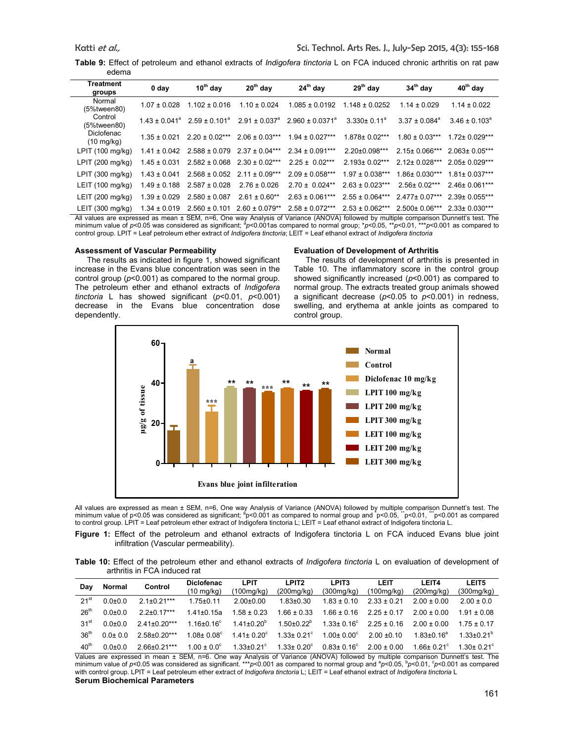**Table 9:** Effect of petroleum and ethanol extracts of *Indigofera tinctoria* L on FCA induced chronic arthritis on rat paw edema

| Treatment<br>groups                | 0 day                         | $10^{th}$ day      | $20th$ day                  | $24th$ day                 | $29th$ day               | $34th$ day             | 40 <sup>th</sup> day     |
|------------------------------------|-------------------------------|--------------------|-----------------------------|----------------------------|--------------------------|------------------------|--------------------------|
| Normal<br>$(5%$ tween $80)$        | $1.07 \pm 0.028$              | $1.102 \pm 0.016$  | $1.10 \pm 0.024$            | $1.085 \pm 0.0192$         | $1.148 \pm 0.0252$       | $1.14 \pm 0.029$       | $1.14 \pm 0.022$         |
| Control<br>(5%tween80)             | $1.43 \pm 0.041$ <sup>a</sup> | $2.59 + 0.101a$    | $2.91 + 0.037$ <sup>a</sup> | $2.960 \pm 0.0371^{\circ}$ | $3.330 \pm 0.11^{\circ}$ | $3.37 + 0.084^{\circ}$ | $3.46 \pm 0.103^{\circ}$ |
| Diclofenac<br>$(10 \text{ mg/kg})$ | $1.35 \pm 0.021$              | $2.20 \pm 0.02***$ | $2.06 \pm 0.03***$          | $1.94 \pm 0.027***$        | $1.878 \pm 0.02***$      | $1.80 \pm 0.03***$     | $1.72 \pm 0.029***$      |
| LPIT (100 mg/kg)                   | $1.41 \pm 0.042$              | $2.588 \pm 0.079$  | $2.37 \pm 0.04***$          | $2.34 \pm 0.091***$        | $2.20 \pm 0.098$ ***     | $2.15+0.066***$        | $2.063 + 0.05***$        |
| LPIT (200 mg/kg)                   | $1.45 \pm 0.031$              | $2.582 \pm 0.068$  | $2.30 \pm 0.02***$          | $2.25 \pm 0.02***$         | $2.193 \pm 0.02***$      | $2.12 \pm 0.028***$    | $2.05 \pm 0.029$ ***     |
| LPIT (300 mg/kg)                   | $1.43 \pm 0.041$              | $2.568 \pm 0.052$  | $2.11 \pm 0.09***$          | $2.09 \pm 0.058***$        | $1.97 + 0.038***$        | $1.86 \pm 0.030***$    | $1.81 \pm 0.037***$      |
| LEIT (100 mg/kg)                   | $1.49 \pm 0.188$              | $2.587 \pm 0.028$  | $2.76 \pm 0.026$            | $2.70 \pm 0.024**$         | $2.63 \pm 0.023***$      | $2.56 \pm 0.02***$     | $2.46 \pm 0.061***$      |
| LEIT (200 mg/kg)                   | $1.39 \pm 0.029$              | $2.580 \pm 0.087$  | $2.61 \pm 0.60**$           | $2.63 \pm 0.061***$        | $2.55 + 0.064***$        | $2477+0.07***$         | $2.39 \pm 0.055$ ***     |
| LEIT (300 mg/kg)                   | $1.34 \pm 0.019$              | $2.560 \pm 0.101$  | $2.60 \pm 0.079**$          | $2.58 \pm 0.072***$        | $2.53 \pm 0.062***$      | $2.500 \pm 0.06$ ***   | $2.33 \pm 0.030***$      |

All values are expressed as mean ± SEM, n=6, One way Analysis of Variance (ANOVA) followed by multiple comparison Dunnett's test. The<br>minimum value of *p<*0.05 was considered as significant; <sup>a</sup>p<0.001as compared to norma control group. LPIT = Leaf petroleum ether extract of *Indigofera tinctoria*; LEIT = Leaf ethanol extract of *Indigofera tinctoria*

#### **Assessment of Vascular Permeability**

The results as indicated in figure 1, showed significant increase in the Evans blue concentration was seen in the control group (*p*<0.001) as compared to the normal group. The petroleum ether and ethanol extracts of *Indigofera tinctoria* L has showed significant (*p*<0.01, *p*<0.001) decrease in the Evans blue concentration dose dependently.

# **Evaluation of Development of Arthritis**

The results of development of arthritis is presented in Table 10. The inflammatory score in the control group showed significantly increased (*p*<0.001) as compared to normal group. The extracts treated group animals showed a significant decrease (*p*<0.05 to *p*<0.001) in redness, swelling, and erythema at ankle joints as compared to control group.



All values are expressed as mean ± SEM, n=6, One way Analysis of Variance (ANOVA) followed by multiple comparison Dunnett's test. The minimum value of p<0.05 was considered as significant; <sup>a</sup>p<0.001 as compared to normal group and \*p<0.05, "p<0.01, ""p<0.001 as compared to control group. LPIT = Leaf petroleum ether extract of Indigofera tinctoria L; LEIT = Leaf ethanol extract of Indigofera tinctoria L.

**Figure 1:** Effect of the petroleum and ethanol extracts of Indigofera tinctoria L on FCA induced Evans blue joint infiltration (Vascular permeability).

**Table 10:** Effect of the petroleum ether and ethanol extracts of *Indigofera tinctoria* L on evaluation of development of arthritis in FCA induced rat

| Dav              | Normal      | Control        | <b>Diclofenac</b><br>$(10 \text{ mg/kg})$ | LPIT<br>(100mg/kg)      | LPIT <sub>2</sub><br>(200mg/kg) | LPIT3<br>(300mg/kg)     | LEIT<br>(100mg/kg) | <b>LEIT4</b><br>(200mg/kg) | LEIT5<br>(300mg/kg)     |
|------------------|-------------|----------------|-------------------------------------------|-------------------------|---------------------------------|-------------------------|--------------------|----------------------------|-------------------------|
| 21 <sup>st</sup> | $0.0 + 0.0$ | $21+021***$    | $1.75 \pm 0.11$                           | $2.00+0.00$             | $1.83 \pm 0.30$                 | $1.83 \pm 0.10$         | $2.33 \pm 0.21$    | $200 + 000$                | $2.00 \pm 0.0$          |
| 26 <sup>th</sup> | $0.0 + 0.0$ | $22+017***$    | $1.41 \pm 0.15a$                          | $1.58 \pm 0.23$         | $1.66 \pm 0.33$                 | $1.66 \pm 0.16$         | $225 + 017$        | $2.00 \pm 0.00$            | $1.91 + 0.08$           |
| 31 <sup>st</sup> | $0.0 + 0.0$ | $241+020***$   | $1.16 \pm 0.16^{\circ}$                   | $1.41 \pm 0.20^{\circ}$ | $1.50\pm0.22^b$                 | $1.33 \pm 0.16^{\circ}$ | $2.25 \pm 0.16$    | $200 + 000$                | $175 + 017$             |
| 36 <sup>th</sup> | $0.0 + 0.0$ | $2.58+0.20***$ | $1.08 \pm 0.08^{\circ}$                   | $1.41 \pm 0.20^{\circ}$ | $1.33 \pm 0.21$ °               | $1.00 \pm 0.00^{\circ}$ | $2.00 \pm 0.10$    | 1 83+0 $16^a$              | 1 33+0 21 <sup>b</sup>  |
| 40 <sup>th</sup> | $0.0 + 0.0$ | 266+021***     | $1.00 \pm 0.0^{\circ}$                    | 1 33+0 21 <sup>c</sup>  | $1.33 \pm 0.20^{\circ}$         | $0.83 \pm 0.16^{\circ}$ | $200 + 000$        | $166 + 021$ °              | 1.30+ 0.21 <sup>c</sup> |

Values are expressed in mean ± SEM, n=6. One way Analysis of Variance (ANOVA) followed by multiple comparison Dunnett's test. The<br>minimum value of p<0.05 was considered as significant. \*\*\*p<0.001 as compared to normal grou with control group. LPIT = Leaf petroleum ether extract of *Indigofera tinctoria* L; LEIT = Leaf ethanol extract of *Indigofera tinctoria* L **Serum Biochemical Parameters**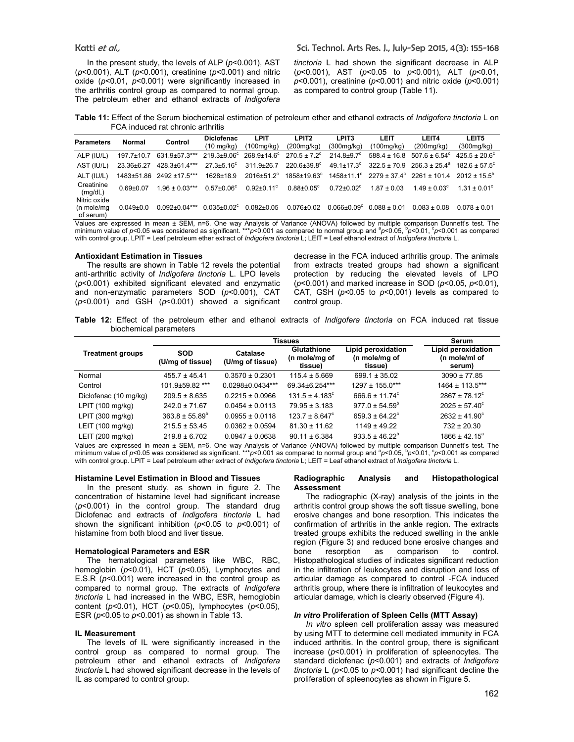In the present study, the levels of ALP (*p*<0.001), AST (*p*<0.001), ALT (*p*<0.001), creatinine (*p*<0.001) and nitric oxide (*p*<0.01, *p*<0.001) were significantly increased in the arthritis control group as compared to normal group. The petroleum ether and ethanol extracts of *Indigofera* 

*tinctoria* L had shown the significant decrease in ALP (*p*<0.001), AST (*p*<0.05 to *p*<0.001), ALT (*p*<0.01, *p*<0.001), creatinine (*p*<0.001) and nitric oxide (*p*<0.001) as compared to control group (Table 11).

**Table 11:** Effect of the Serum biochemical estimation of petroleum ether and ethanol extracts of *Indigofera tinctoria* L on FCA induced rat chronic arthritis

| <b>Parameters</b>     | Normal           | Control                                                                                                                          | <b>Diclofenac</b><br>(10 mg/kg) | <b>LPIT</b><br>.100mg/kg)                  | LPIT <sub>2</sub><br>(200mg/kg) | LPIT <sub>3</sub><br>(300mg/kg) | LEIT<br>(100mg/kg) | <b>LEIT4</b><br>(200mg/kg)                                                               | LEIT5<br>(300mg/kg)   |
|-----------------------|------------------|----------------------------------------------------------------------------------------------------------------------------------|---------------------------------|--------------------------------------------|---------------------------------|---------------------------------|--------------------|------------------------------------------------------------------------------------------|-----------------------|
| ALP (IU/L)            | $197.7 \pm 10.7$ | 631.9±57.3***                                                                                                                    |                                 | $219.3 \pm 9.06^{\circ}$ 268.9 $\pm$ 14.6° | $270.5 \pm 7.2^{\circ}$         | $214.8 \pm 9.7$ <sup>c</sup>    |                    | $588.4 \pm 16.8$ $507.6 \pm 6.54^{\circ}$ $425.5 \pm 20.6^{\circ}$                       |                       |
| AST (IU/L)            | 23.36±6.27       | 428.3±61.4***                                                                                                                    | $27.3 \pm 5.16^{\circ}$         | $311.9 \pm 26.7$                           | $220.6 \pm 39.8$ <sup>c</sup>   |                                 |                    | $49.1 \pm 17.3^{\circ}$ 322.5 ± 70.9 256.3 ± 25.4 <sup>a</sup> 182.6 ± 57.5 <sup>c</sup> |                       |
| ALT (IU/L)            | 1483±51.86       | 2492 ±17.5***                                                                                                                    | $1628 \pm 18.9$                 | $2016 + 51.2$ °                            | $1858 \pm 19.63^c$              |                                 |                    | $1458 \pm 11.1^{\circ}$ 2279 $\pm 37.4^{\circ}$ 2261 $\pm 101.4$                         | $2012 + 15.5^{\circ}$ |
| Creatinine<br>(mq/dL) | $0.69 + 0.07$    | $1.96 \pm 0.03***$                                                                                                               | $0.57 \pm 0.06$ <sup>c</sup>    | $0.92 \pm 0.11$ <sup>c</sup>               | $0.88 \pm 0.05$ <sup>c</sup>    | $0.72 \pm 0.02$ <sup>c</sup>    | $1.87 + 0.03$      | $1.49 \pm 0.03^{\circ}$                                                                  | $1.31 + 0.01^{\circ}$ |
| Nitric oxide          |                  |                                                                                                                                  |                                 |                                            |                                 |                                 |                    |                                                                                          |                       |
| (n mole/mg            | $0.049 \pm 0.0$  | $0.092 \pm 0.04$ ***                                                                                                             | $0.035 \pm 0.02$ <sup>c</sup>   | $0.082 \pm 0.05$                           | $0.076 \pm 0.02$                | $0.066 \pm 0.09$ <sup>c</sup>   | $0.088 \pm 0.01$   | $0.083 \pm 0.08$                                                                         | $0.078 + 0.01$        |
| of serum)             |                  | Values are expressed in mean + SEM n=6. One way Analysis of Variance (ANOVA) followed by multiple comparison Dunnett's test. The |                                 |                                            |                                 |                                 |                    |                                                                                          |                       |

Values are expressed in mean ± SEM, n=6. One way Analysis of Variance (ANOVA) followed by multiple comparison Dunnett's test. The<br>minimum value of p<0.05 was considered as significant. \*\*\*p<0.001 as compared to normal grou with control group. LPIT = Leaf petroleum ether extract of *Indigofera tinctoria* L; LEIT = Leaf ethanol extract of *Indigofera tinctoria* L.

#### **Antioxidant Estimation in Tissues**

The results are shown in Table 12 revels the potential anti-arthritic activity of *Indigofera tinctoria* L. LPO levels (*p*<0.001) exhibited significant elevated and enzymatic and non-enzymatic parameters SOD (*p*<0.001), CAT (*p*<0.001) and GSH (*p*<0.001) showed a significant decrease in the FCA induced arthritis group. The animals from extracts treated groups had shown a significant protection by reducing the elevated levels of LPO (*p*<0.001) and marked increase in SOD (*p*<0.05, *p*<0.01), CAT, GSH (*p*<0.05 to *p*<0,001) levels as compared to control group.

**Table 12:** Effect of the petroleum ether and ethanol extracts of *Indigofera tinctoria* on FCA induced rat tissue biochemical parameters

|                         |                                                                | Serum               |                                         |                                                |                                               |  |
|-------------------------|----------------------------------------------------------------|---------------------|-----------------------------------------|------------------------------------------------|-----------------------------------------------|--|
| <b>Treatment groups</b> | <b>SOD</b><br>Catalase<br>(U/mg of tissue)<br>(U/mg of tissue) |                     | Glutathione<br>(n mole/mg of<br>tissue) | Lipid peroxidation<br>(n mole/mg of<br>tissue) | Lipid peroxidation<br>(n mole/ml of<br>serum) |  |
| Normal                  | $455.7 \pm 45.41$                                              | $0.3570 \pm 0.2301$ | $115.4 \pm 5.669$                       | $699.1 \pm 35.02$                              | $3090 \pm 77.85$                              |  |
| Control                 | 101.9±59.82 ***                                                | 0.0298±0.0434***    | 69.34±6.254***                          | $1297 \pm 155.0***$                            | 1464 ± 113.5***                               |  |
| Diclofenac (10 mg/kg)   | $209.5 \pm 8.635$                                              | $0.2215 \pm 0.0966$ | $131.5 \pm 4.183^{\circ}$               | $666.6 \pm 11.74^{\circ}$                      | $2867 \pm 78.12^{\circ}$                      |  |
| LPIT (100 mg/kg)        | $242.0 \pm 71.67$                                              | $0.0454 \pm 0.0113$ | $79.95 \pm 3.183$                       | $977.0 \pm 54.59^{\circ}$                      | $2025 \pm 57.40^{\circ}$                      |  |
| LPIT (300 mg/kg)        | $363.8 \pm 55.89^{\circ}$                                      | $0.0955 \pm 0.0118$ | $123.7 \pm 8.647^{\circ}$               | $659.3 \pm 64.22^{\circ}$                      | $2632 \pm 41.90^{\circ}$                      |  |
| LEIT (100 mg/kg)        | $215.5 \pm 53.45$                                              | $0.0362 \pm 0.0594$ | $81.30 \pm 11.62$                       | $1149 \pm 49.22$                               | $732 \pm 20.30$                               |  |
| LEIT (200 mg/kg)        | $219.8 \pm 6.702$                                              | $0.0947 \pm 0.0638$ | $90.11 \pm 6.384$                       | $933.5 \pm 46.22^{\circ}$                      | $1866 \pm 42.15^a$                            |  |

Values are expressed in mean ± SEM, n=6. One way Analysis of Variance (ANOVA) followed by multiple comparison Dunnett's test. The<br>minimum value of *p<*0.05 was considered as significant. \*\*\**p<*0.001 as compared to normal with control group. LPIT = Leaf petroleum ether extract of *Indigofera tinctoria* L; LEIT = Leaf ethanol extract of *Indigofera tinctoria* L.

#### **Histamine Level Estimation in Blood and Tissues**

In the present study, as shown in figure 2. The concentration of histamine level had significant increase (*p*<0.001) in the control group. The standard drug Diclofenac and extracts of *Indigofera tinctoria* L had shown the significant inhibition (*p*<0.05 to *p*<0.001) of histamine from both blood and liver tissue.

# **Hematological Parameters and ESR**

The hematological parameters like WBC, RBC, hemoglobin (*p*<0.01), HCT (*p*<0.05), Lymphocytes and E.S.R ( $p$ <0.001) were increased in the control group as compared to normal group. The extracts of *Indigofera tinctoria* L had increased in the WBC, ESR, hemoglobin content (*p*<0.01), HCT (*p*<0.05), lymphocytes (*p*<0.05), ESR (*p*<0.05 to *p*<0.001) as shown in Table 13.

## **IL Measurement**

The levels of IL were significantly increased in the control group as compared to normal group. The petroleum ether and ethanol extracts of *Indigofera tinctoria* L had showed significant decrease in the levels of IL as compared to control group.

#### **Radiographic Analysis and Histopathological Assessment**

The radiographic (X-ray) analysis of the joints in the arthritis control group shows the soft tissue swelling, bone erosive changes and bone resorption. This indicates the confirmation of arthritis in the ankle region. The extracts treated groups exhibits the reduced swelling in the ankle region (Figure 3) and reduced bone erosive changes and bone resorption as comparison to control. Histopathological studies of indicates significant reduction in the infiltration of leukocytes and disruption and loss of articular damage as compared to control -FCA induced arthritis group, where there is infiltration of leukocytes and articular damage, which is clearly observed (Figure 4).

#### *In vitro* **Proliferation of Spleen Cells (MTT Assay)**

*In vitro* spleen cell proliferation assay was measured by using MTT to determine cell mediated immunity in FCA induced arthritis. In the control group, there is significant increase (*p*<0.001) in proliferation of spleenocytes. The standard diclofenac (*p*<0.001) and extracts of *Indigofera tinctoria* L (*p<*0.05 to *p<*0.001) had significant decline the proliferation of spleenocytes as shown in Figure 5.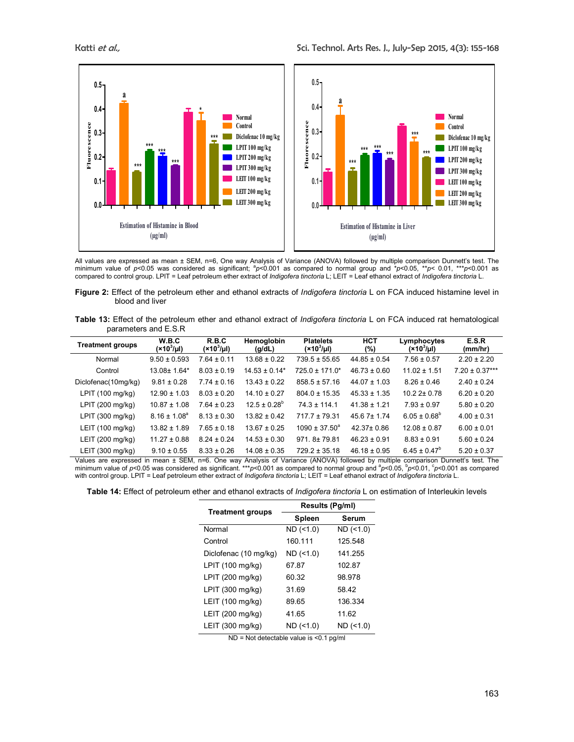

All values are expressed as mean ± SEM, n=6, One way Analysis of Variance (ANOVA) followed by multiple comparison Dunnett's test. The minimum value of p<0.05 was considered as significant;  ${}^{9}p$ <0.001 as compared to normal group and \*p<0.05, \*\*p< 0.01, \*\*\*p<0.001 as compared to control group. LPIT = Leaf petroleum ether extract of *Indigofera tinctoria* L; LEIT = Leaf ethanol extract of *Indigofera tinctoria* L.

**Figure 2:** Effect of the petroleum ether and ethanol extracts of *Indigofera tinctoria* L on FCA induced histamine level in blood and liver

**Table 13:** Effect of the petroleum ether and ethanol extract of *Indigofera tinctoria* L on FCA induced rat hematological parameters and E.S.R

| <b>Treatment groups</b>    | W.B.C<br>$(x10^3/\mu l)$ | R.B.C<br>$(x10^3/\mu l)$ | Hemoglobin<br>(g/dL)          | <b>Platelets</b><br>$(x10^3/\mu l)$ | <b>HCT</b><br>(%) | Lymphocytes<br>$(x10^3/\mu l)$ | E.S.R<br>(mm/hr)   |
|----------------------------|--------------------------|--------------------------|-------------------------------|-------------------------------------|-------------------|--------------------------------|--------------------|
| Normal                     | $9.50 \pm 0.593$         | $7.64 \pm 0.11$          | $13.68 \pm 0.22$              | $739.5 \pm 55.65$                   | $44.85 \pm 0.54$  | $7.56 \pm 0.57$                | $2.20 \pm 2.20$    |
| Control                    | 13.08± 1.64*             | $8.03 \pm 0.19$          | $14.53 \pm 0.14$ <sup>*</sup> | $725.0 \pm 171.0^*$                 | $46.73 \pm 0.60$  | $11.02 \pm 1.51$               | $7.20 \pm 0.37***$ |
| Diclofenac(10mg/kg)        | $9.81 \pm 0.28$          | $7.74 \pm 0.16$          | $13.43 \pm 0.22$              | $858.5 \pm 57.16$                   | $44.07 \pm 1.03$  | $8.26 \pm 0.46$                | $2.40 \pm 0.24$    |
| LPIT $(100 \text{ mg/kg})$ | $12.90 \pm 1.03$         | $8.03 \pm 0.20$          | $14.10 \pm 0.27$              | $804.0 \pm 15.35$                   | $45.33 \pm 1.35$  | $10.22 \pm 0.78$               | $6.20 \pm 0.20$    |
| LPIT (200 mg/kg)           | $10.87 \pm 1.08$         | $7.64 \pm 0.23$          | $12.5 \pm 0.28^{\circ}$       | $74.3 \pm 114.1$                    | $41.38 \pm 1.21$  | $7.93 \pm 0.97$                | $5.80 \pm 0.20$    |
| LPIT (300 mg/kg)           | $8.16 \pm 1.08^a$        | $8.13 \pm 0.30$          | $13.82 \pm 0.42$              | $717.7 \pm 79.31$                   | $45.67 \pm 1.74$  | $6.05 \pm 0.68^{\circ}$        | $4.00 \pm 0.31$    |
| LEIT (100 mg/kg)           | $13.82 \pm 1.89$         | $7.65 \pm 0.18$          | $13.67 \pm 0.25$              | $1090 \pm 37.50^{\circ}$            | 42.37± 0.86       | $12.08 \pm 0.87$               | $6.00 \pm 0.01$    |
| LEIT (200 mg/kg)           | $11.27 \pm 0.88$         | $8.24 \pm 0.24$          | $14.53 \pm 0.30$              | $971.8 \pm 79.81$                   | $46.23 \pm 0.91$  | $8.83 \pm 0.91$                | $5.60 \pm 0.24$    |
| LEIT (300 mg/kg)           | $9.10 \pm 0.55$          | $8.33 \pm 0.26$          | $14.08 \pm 0.35$              | $729.2 \pm 35.18$                   | $46.18 \pm 0.95$  | $6.45 \pm 0.47^b$              | $5.20 \pm 0.37$    |

Values are expressed in mean ± SEM, n=6. One way Analysis of Variance (ANOVA) followed by multiple comparison Dunnett's test. The<br>minimum value of p<0.05 was considered as significant. \*\*\*p<0.001 as compared to normal grou with control group. LPIT = Leaf petroleum ether extract of *Indigofera tinctoria* L; LEIT = Leaf ethanol extract of *Indigofera tinctoria* L.

**Table 14:** Effect of petroleum ether and ethanol extracts of *Indigofera tinctoria* L on estimation of Interleukin levels

| <b>Treatment groups</b>                   | Results (Pg/ml) |             |  |  |  |  |
|-------------------------------------------|-----------------|-------------|--|--|--|--|
|                                           | Spleen          | Serum       |  |  |  |  |
| Normal                                    | $ND$ (<1.0)     | $ND$ (<1.0) |  |  |  |  |
| Control                                   | 160.111         | 125.548     |  |  |  |  |
| Diclofenac (10 mg/kg)                     | $ND$ (<1.0)     | 141.255     |  |  |  |  |
| LPIT (100 mg/kg)                          | 67.87           | 102.87      |  |  |  |  |
| LPIT (200 mg/kg)                          | 60.32           | 98.978      |  |  |  |  |
| $LPIT$ (300 mg/kg)                        | 31.69           | 58.42       |  |  |  |  |
| LEIT (100 mg/kg)                          | 89.65           | 136.334     |  |  |  |  |
| LEIT (200 mg/kg)                          | 41.65           | 11.62       |  |  |  |  |
| LEIT (300 mg/kg)                          | $ND$ (<1.0)     | $ND$ (<1.0) |  |  |  |  |
| $ND = Not$ detectable value is <0.1 pg/ml |                 |             |  |  |  |  |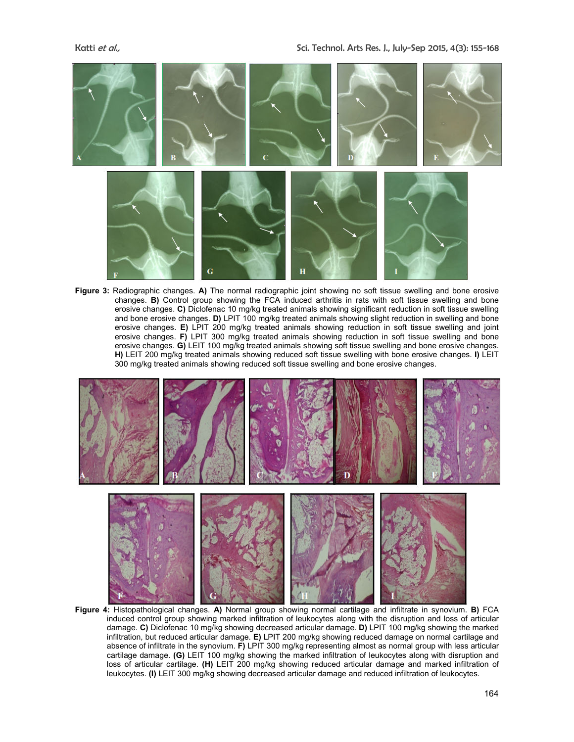

**Figure 3:** Radiographic changes. **A)** The normal radiographic joint showing no soft tissue swelling and bone erosive changes. **B)** Control group showing the FCA induced arthritis in rats with soft tissue swelling and bone erosive changes. **C)** Diclofenac 10 mg/kg treated animals showing significant reduction in soft tissue swelling and bone erosive changes. **D)** LPIT 100 mg/kg treated animals showing slight reduction in swelling and bone erosive changes. **E)** LPIT 200 mg/kg treated animals showing reduction in soft tissue swelling and joint erosive changes. **F)** LPIT 300 mg/kg treated animals showing reduction in soft tissue swelling and bone erosive changes. **G)** LEIT 100 mg/kg treated animals showing soft tissue swelling and bone erosive changes. **H)** LEIT 200 mg/kg treated animals showing reduced soft tissue swelling with bone erosive changes. **I)** LEIT 300 mg/kg treated animals showing reduced soft tissue swelling and bone erosive changes.



**Figure 4:** Histopathological changes. **A)** Normal group showing normal cartilage and infiltrate in synovium. **B)** FCA induced control group showing marked infiltration of leukocytes along with the disruption and loss of articular damage. **C)** Diclofenac 10 mg/kg showing decreased articular damage. **D)** LPIT 100 mg/kg showing the marked infiltration, but reduced articular damage. **E)** LPIT 200 mg/kg showing reduced damage on normal cartilage and absence of infiltrate in the synovium. **F)** LPIT 300 mg/kg representing almost as normal group with less articular cartilage damage. **(G)** LEIT 100 mg/kg showing the marked infiltration of leukocytes along with disruption and loss of articular cartilage. **(H)** LEIT 200 mg/kg showing reduced articular damage and marked infiltration of leukocytes. **(I)** LEIT 300 mg/kg showing decreased articular damage and reduced infiltration of leukocytes.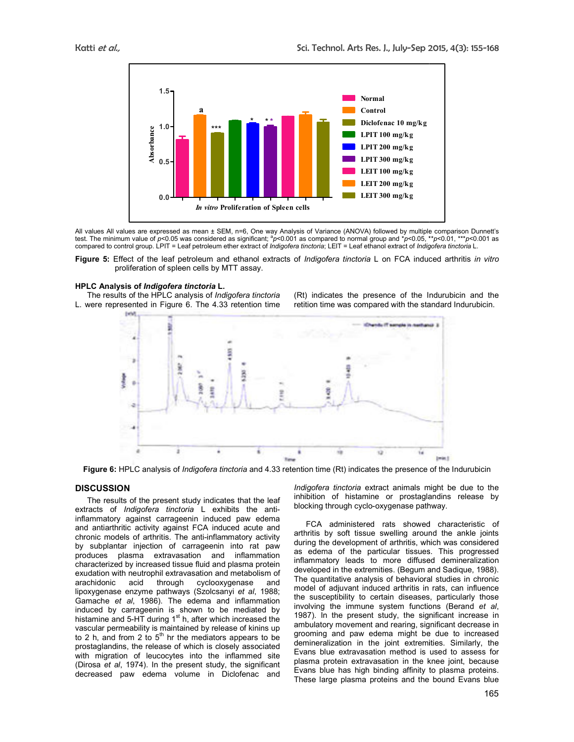

All values All values are expressed as mean ± SEM, n=6, One way Analysis of Variance (ANOVA) followed by multiple comparison Dunnett's All values All values are expressed as mean ± SEM, n=6, One way Analysis of Variance (ANOVA) followed by multiple comparison Dunnett's<br>test. The minimum value of *p<*0.05 was considered as significant; <sup>a</sup>*p<*0.001 as comp compared to control group. LPIT = Leaf petroleum ether extract of *Indigofera tinctoria*; LEIT = Leaf ethanol extract of *Indigofera tinctoria* L.

**Figure 5:** Effect of the leaf petroleum and ethanol extracts of *Indigofera tinctoria* L on FCA induced arthritis *in vitro*  proliferation of spleen cells by MTT assay. proliferation of spleen cells by MTT assay.<br>**LC Analysis of** *Indigofera tinctoria* **L.**<br>The results of the HPLC analysis of *Indigofera tinctoria* (Rt) indicates the presence of the Indurubicin

# **HPLC Analysis of** *Indigofera tinctoria* **L.**

L. were represented in Figure 6. The 4.33 retention time

retition time was compared with the standard Indurubicin. (Rt) indicates the presence of the Indurubicin and the



**Figure 6:** HPLC analysis of *Indigofera tin tinctoria* and 4.33 retention time (Rt) indicates the presence of the Indurubicin

# **DISCUSSION**

The results of the present study indicates that the leaf The results of the present study indicates that the leaf<br>extracts of *Indigofera tinctoria* L exhibits the antiinflammatory against carrageenin induced paw edema and antiarthritic activity against FCA induced acute and chronic models of arthritis. The anti-inflammatory activity by subplantar injection of carrageenin into rat paw produces plasma extravasation and inflammation characterized by increased tissue fluid and plasma protein exudation with neutrophil extravasation and metabolism of arachidonic acid through cyclooxygenase and and antiarthritic activity against FCA induced acute and chronic models of arthritis. The anti-inflammatory activity by subplantar injection of carrageenin into rat paw produces plasma extravasation and inflammation charac Gamache *et al*, 1986). The edema and inflammation induced by carrageenin is shown to be mediated by<br>histamine and 5-HT during 1<sup>st</sup> h, after which increased the vascular permeability is maintained by release of kinins up to 2 h, and from 2 to  $5<sup>th</sup>$  hr the mediators appears to be prostaglandins, the release of which is closely associated with migration of leucocytes into the inflammed site (Dirosa *et al*, 1974). In the present study, the significant decreased paw edema volume in Diclofenac and **DISCUSSION**<br>
The results of the present study indicates that the leaf inhibition of histamine or prostaglandins release by<br>
extracts of *Indigofera tinctoria* L exhibits the anti- inhibition of histamine or prostaglandins

inhibition of histamine or prostaglandins release by blocking through cyclo-oxygenase pathway. ract animals might be due to the<br>e or prostaglandins release by<br>oxygenase pathway.

FCA administered rats showed characteristic of arthritis by soft tissue swelling around the ankle joints during the development of arthritis, which was considered as edema of the particular tissues. This progressed inflammatory leads to more diffused demineralization developed in the extremities. (Begum and Sadique, 1988). The quantitative analysis of behavioral studies in chronic model of adjuvant induced arthritis in rats, can influence the susceptibility to certain diseases, particularly those involving the immune system functions (Berand *et al*, 1987). In the present study, the significant increase in ambulatory movement and rearing, significant decrease in grooming and paw edema might be due to increased demineralization in the joint extremities. Similarly, the Evans blue extravasation method is used to assess for plasma protein extravasation in the knee joint, Evans blue has high binding affinity to plasma proteins. These large plasma proteins and the bound Evans blue These FCA administered rats showed characteristic of arthritis by soft tissue swelling around the ankle joints during the development of arthritis, which was considered as edema of the particular tissues. This progressed inflamm the present study, the significant increase in<br>y movement and rearing, significant decrease in<br>and paw edema might be due to increased<br>ization in the joint extremities. Similarly, the<br>le extravasation method is used to ass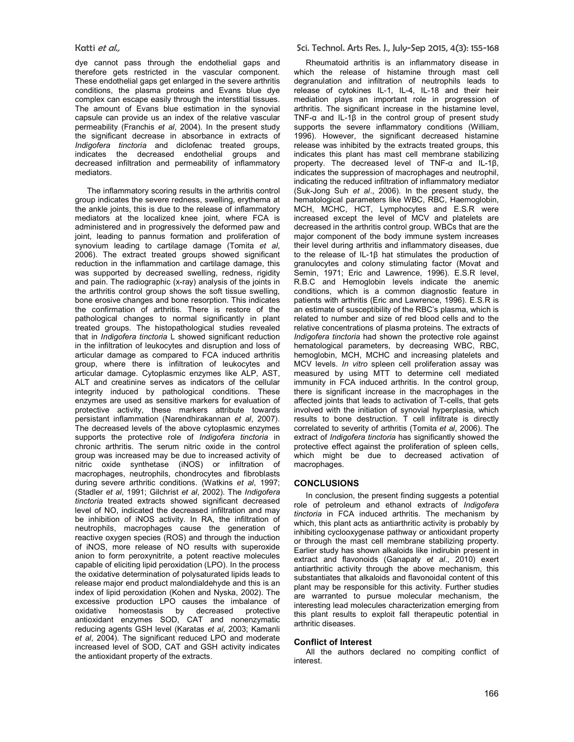dye cannot pass through the endothelial gaps and therefore gets restricted in the vascular component. These endothelial gaps get enlarged in the severe arthritis conditions, the plasma proteins and Evans blue dye complex can escape easily through the interstitial tissues. The amount of Evans blue estimation in the synovial capsule can provide us an index of the relative vascular permeability (Franchis *et al*, 2004). In the present study the significant decrease in absorbance in extracts of *Indigofera tinctoria* and diclofenac treated groups, indicates the decreased endothelial groups and decreased infiltration and permeability of inflammatory mediators.

The inflammatory scoring results in the arthritis control group indicates the severe redness, swelling, erythema at the ankle joints, this is due to the release of inflammatory mediators at the localized knee joint, where FCA is administered and in progressively the deformed paw and joint, leading to pannus formation and proliferation of synovium leading to cartilage damage (Tomita *et al*, 2006). The extract treated groups showed significant reduction in the inflammation and cartilage damage, this was supported by decreased swelling, redness, rigidity and pain. The radiographic (x-ray) analysis of the joints in the arthritis control group shows the soft tissue swelling, bone erosive changes and bone resorption. This indicates the confirmation of arthritis. There is restore of the pathological changes to normal significantly in plant treated groups. The histopathological studies revealed that in *Indigofera tinctoria* L showed significant reduction in the infiltration of leukocytes and disruption and loss of articular damage as compared to FCA induced arthritis group, where there is infiltration of leukocytes and articular damage. Cytoplasmic enzymes like ALP, AST, ALT and creatinine serves as indicators of the cellular integrity induced by pathological conditions. These enzymes are used as sensitive markers for evaluation of protective activity, these markers attribute towards persistant inflammation (Narendhirakannan *et al*, 2007). The decreased levels of the above cytoplasmic enzymes supports the protective role of *Indigofera tinctoria* in chronic arthritis. The serum nitric oxide in the control group was increased may be due to increased activity of nitric oxide synthetase (iNOS) or infiltration of macrophages, neutrophils, chondrocytes and fibroblasts during severe arthritic conditions. (Watkins *et al*, 1997; (Stadler *et al*, 1991; Gilchrist *et al*, 2002). The *Indigofera tinctoria* treated extracts showed significant decreased level of NO, indicated the decreased infiltration and may be inhibition of iNOS activity. In RA, the infiltration of neutrophils, macrophages cause the generation of reactive oxygen species (ROS) and through the induction of iNOS, more release of NO results with superoxide anion to form peroxynitrite, a potent reactive molecules capable of eliciting lipid peroxidation (LPO). In the process the oxidative determination of polysaturated lipids leads to release major end product malondialdehyde and this is an index of lipid peroxidation (Kohen and Nyska, 2002). The excessive production LPO causes the imbalance of oxidative homeostasis by decreased protective antioxidant enzymes SOD, CAT and nonenzymatic reducing agents GSH level (Karatas *et al*, 2003; Kamanli *et al*, 2004). The significant reduced LPO and moderate increased level of SOD, CAT and GSH activity indicates the antioxidant property of the extracts.

Rheumatoid arthritis is an inflammatory disease in which the release of histamine through mast cell degranulation and infiltration of neutrophils leads to release of cytokines IL-1, IL-4, IL-18 and their heir mediation plays an important role in progression of arthritis. The significant increase in the histamine level, TNF-α and IL-1β in the control group of present study supports the severe inflammatory conditions (William, 1996). However, the significant decreased histamine release was inhibited by the extracts treated groups, this indicates this plant has mast cell membrane stabilizing property. The decreased level of TNF-α and IL-1β, indicates the suppression of macrophages and neutrophil, indicating the reduced infiltration of inflammatory mediator (Suk-Jong Suh *et al*., 2006). In the present study, the hematological parameters like WBC, RBC, Haemoglobin, MCH, MCHC, HCT, Lymphocytes and E.S.R were increased except the level of MCV and platelets are decreased in the arthritis control group. WBCs that are the major component of the body immune system increases their level during arthritis and inflammatory diseases, due to the release of IL-1β hat stimulates the production of granulocytes and colony stimulating factor (Movat and Semin, 1971; Eric and Lawrence, 1996). E.S.R level, R.B.C and Hemoglobin levels indicate the anemic conditions, which is a common diagnostic feature in patients with arthritis (Eric and Lawrence, 1996). E.S.R is an estimate of susceptibility of the RBC's plasma, which is related to number and size of red blood cells and to the relative concentrations of plasma proteins. The extracts of *Indigofera tinctoria* had shown the protective role against hematological parameters, by decreasing WBC, RBC, hemoglobin, MCH, MCHC and increasing platelets and MCV levels. *In vitro* spleen cell proliferation assay was measured by using MTT to determine cell mediated immunity in FCA induced arthritis. In the control group, there is significant increase in the macrophages in the affected joints that leads to activation of T-cells, that gets involved with the initiation of synovial hyperplasia, which results to bone destruction. T cell infiltrate is directly correlated to severity of arthritis (Tomita *et al*, 2006). The extract of *Indigofera tinctoria* has significantly showed the protective effect against the proliferation of spleen cells, which might be due to decreased activation of macrophages.

#### **CONCLUSIONS**

In conclusion, the present finding suggests a potential role of petroleum and ethanol extracts of *Indigofera tinctoria* in FCA induced arthritis. The mechanism by which, this plant acts as antiarthritic activity is probably by inhibiting cyclooxygenase pathway or antioxidant property or through the mast cell membrane stabilizing property. Earlier study has shown alkaloids like indirubin present in extract and flavonoids (Ganapaty *et al*., 2010) exert antiarthritic activity through the above mechanism, this substantiates that alkaloids and flavonoidal content of this plant may be responsible for this activity. Further studies are warranted to pursue molecular mechanism, the interesting lead molecules characterization emerging from this plant results to exploit fall therapeutic potential in arthritic diseases.

#### **Conflict of Interest**

All the authors declared no compiting conflict of interest.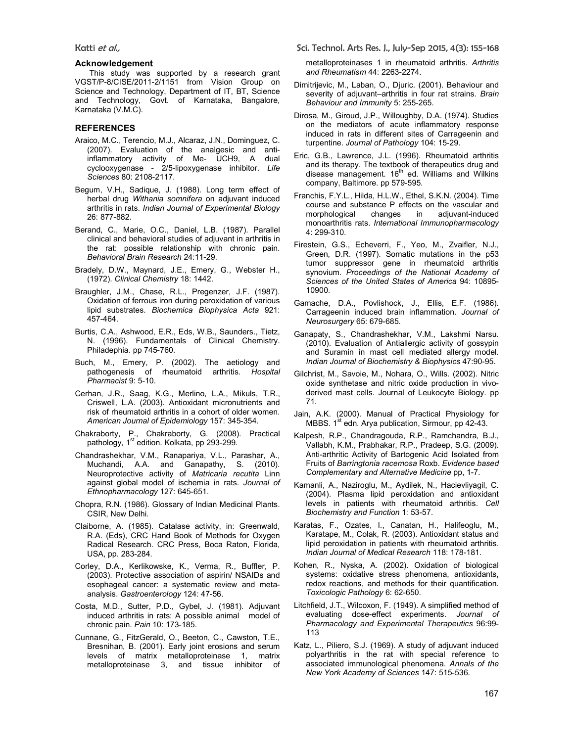#### **Acknowledgement**

 This study was supported by a research grant VGST/P-8/CISE/2011-2/1151 from Vision Group on Science and Technology, Department of IT, BT, Science and Technology, Govt. of Karnataka, Bangalore, Karnataka (V.M.C).

# **REFERENCES**

- Araico, M.C., Terencio, M.J., Alcaraz, J.N., Dominguez, C. (2007). Evaluation of the analgesic and antiinflammatory activity of Me- UCH9, A dual cyclooxygenase - 2/5-lipoxygenase inhibitor. *Life Sciences* 80: 2108-2117.
- Begum, V.H., Sadique, J. (1988). Long term effect of herbal drug *Withania somnifera* on adjuvant induced arthritis in rats. *Indian Journal of Experimental Biology* 26: 877-882.
- Berand, C., Marie, O.C., Daniel, L.B. (1987). Parallel clinical and behavioral studies of adjuvant in arthritis in the rat: possible relationship with chronic pain. *Behavioral Brain Research* 24:11-29.
- Bradely, D.W., Maynard, J.E., Emery, G., Webster H., (1972). *Clinical Chemistry* 18: 1442.
- Braughler, J.M., Chase, R.L., Pregenzer, J.F. (1987). Oxidation of ferrous iron during peroxidation of various lipid substrates. *Biochemica Biophysica Acta* 921: 457-464.
- Burtis, C.A., Ashwood, E.R., Eds, W.B., Saunders., Tietz, N. (1996). Fundamentals of Clinical Chemistry. Philadephia. pp 745-760.
- Buch, M., Emery, P. (2002). The aetiology and pathogenesis of rheumatoid arthritis. *Hospital Pharmacist* 9: 5-10.
- Cerhan, J.R., Saag, K.G., Merlino, L.A., Mikuls, T.R., Criswell, L.A. (2003). Antioxidant micronutrients and risk of rheumatoid arthritis in a cohort of older women. *American Journal of Epidemiology* 157: 345-354.
- Chakraborty, P., Chakraborty, G. (2008). Practical pathology, 1<sup>st</sup> edition. Kolkata, pp 293-299.
- Chandrashekhar, V.M., Ranapariya, V.L., Parashar, A., Muchandi, A.A. and Ganapathy, S. (2010). Neuroprotective activity of *Matricaria recutita* Linn against global model of ischemia in rats. *Journal of Ethnopharmacology* 127: 645-651.
- Chopra, R.N. (1986). Glossary of Indian Medicinal Plants. CSIR, New Delhi.
- Claiborne, A. (1985). Catalase activity, in: Greenwald, R.A. (Eds), CRC Hand Book of Methods for Oxygen Radical Research. CRC Press, Boca Raton, Florida, USA, pp. 283-284.
- Corley, D.A., Kerlikowske, K., Verma, R., Buffler, P. (2003). Protective association of aspirin/ NSAIDs and esophageal cancer: a systematic review and metaanalysis. *Gastroenterology* 124: 47-56.
- Costa, M.D., Sutter, P.D., Gybel, J. (1981). Adjuvant induced arthritis in rats: A possible animal model of chronic pain. *Pain* 10: 173-185.
- Cunnane, G., FitzGerald, O., Beeton, C., Cawston, T.E., Bresnihan, B. (2001). Early joint erosions and serum levels of matrix metalloproteinase 1, matrix metalloproteinase 3, and tissue inhibitor of

Katti et al., Sci. Technol. Arts Res. J., July-Sep 2015, 4(3): 155-168

metalloproteinases 1 in rheumatoid arthritis. *Arthritis and Rheumatism* 44: 2263-2274.

- Dimitrijevic, M., Laban, O., Djuric. (2001). Behaviour and severity of adjuvant–arthritis in four rat strains. *Brain Behaviour and Immunity* 5: 255-265.
- Dirosa, M., Giroud, J.P., Willoughby, D.A. (1974). Studies on the mediators of acute inflammatory response induced in rats in different sites of Carrageenin and turpentine. *Journal of Pathology* 104: 15-29.
- Eric, G.B., Lawrence, J.L. (1996). Rheumatoid arthritis and its therapy. The textbook of therapeutics drug and disease management.  $16<sup>th</sup>$  ed. Williams and Wilkins company, Baltimore. pp 579-595.
- Franchis, F.Y.L., Hilda, H.L.W., Ethel, S.K.N. (2004). Time course and substance P effects on the vascular and morphological changes in adjuvant-induced monoarthritis rats. *International Immunopharmacology* 4: 299-310.
- Firestein, G.S., Echeverri, F., Yeo, M., Zvaifler, N.J., Green, D.R. (1997). Somatic mutations in the p53 tumor suppressor gene in rheumatoid arthritis synovium. *Proceedings of the National Academy of Sciences of the United States of America* 94: 10895- 10900.
- Gamache, D.A., Povlishock, J., Ellis, E.F. (1986). Carrageenin induced brain inflammation. *Journal of Neurosurgery* 65: 679-685.
- Ganapaty, S., Chandrashekhar, V.M., Lakshmi Narsu. (2010). Evaluation of Antiallergic activity of gossypin and Suramin in mast cell mediated allergy model. *Indian Journal of Biochemistry & Biophysics* 47:90-95.
- Gilchrist, M., Savoie, M., Nohara, O., Wills. (2002). Nitric oxide synthetase and nitric oxide production in vivoderived mast cells. Journal of Leukocyte Biology. pp 71.
- Jain, A.K. (2000). Manual of Practical Physiology for MBBS. 1<sup>st</sup> edn. Arya publication, Sirmour, pp 42-43.
- Kalpesh, R.P., Chandragouda, R.P., Ramchandra, B.J., Vallabh, K.M., Prabhakar, R.P., Pradeep, S.G. (2009). Anti-arthritic Activity of Bartogenic Acid Isolated from Fruits of *Barringtonia racemosa* Roxb. *Evidence based Complementary and Alternative Medicine* pp, 1-7.
- Kamanli, A., Naziroglu, M., Aydilek, N., Hacievliyagil, C. (2004). Plasma lipid peroxidation and antioxidant levels in patients with rheumatoid arthritis. *Cell Biochemistry and Function* 1: 53-57.
- Karatas, F., Ozates, I., Canatan, H., Halifeoglu, M., Karatape, M., Colak, R. (2003). Antioxidant status and lipid peroxidation in patients with rheumatoid arthritis. *Indian Journal of Medical Research* 118: 178-181.
- Kohen, R., Nyska, A. (2002). Oxidation of biological systems: oxidative stress phenomena, antioxidants, redox reactions, and methods for their quantification. *Toxicologic Pathology* 6: 62-650.
- Litchfield, J.T., Wilcoxon, F. (1949). A simplified method of evaluating dose-effect experiments. *Journal of Pharmacology and Experimental Therapeutics* 96:99- 113
- Katz, L., Piliero, S.J. (1969). A study of adjuvant induced polyarthritis in the rat with special reference to associated immunological phenomena. *Annals of the New York Academy of Sciences* 147: 515-536.